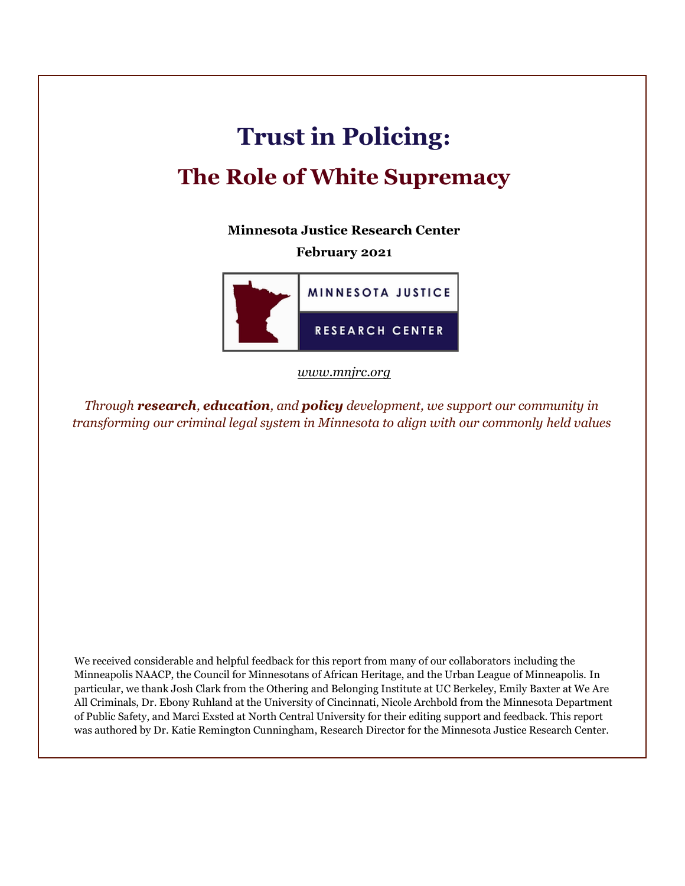# **Trust in Policing:**

# **The Role of White Supremacy**

**Minnesota Justice Research Center**

## **February 2021**



*[www.mnjrc.org](http://www.mnjrc.org/)*

*Through research, education, and policy development, we support our community in transforming our criminal legal system in Minnesota to align with our commonly held values*

We received considerable and helpful feedback for this report from many of our collaborators including the Minneapolis NAACP, the Council for Minnesotans of African Heritage, and the Urban League of Minneapolis. In particular, we thank Josh Clark from the Othering and Belonging Institute at UC Berkeley, Emily Baxter at We Are All Criminals, Dr. Ebony Ruhland at the University of Cincinnati, Nicole Archbold from the Minnesota Department of Public Safety, and Marci Exsted at North Central University for their editing support and feedback. This report was authored by Dr. Katie Remington Cunningham, Research Director for the Minnesota Justice Research Center.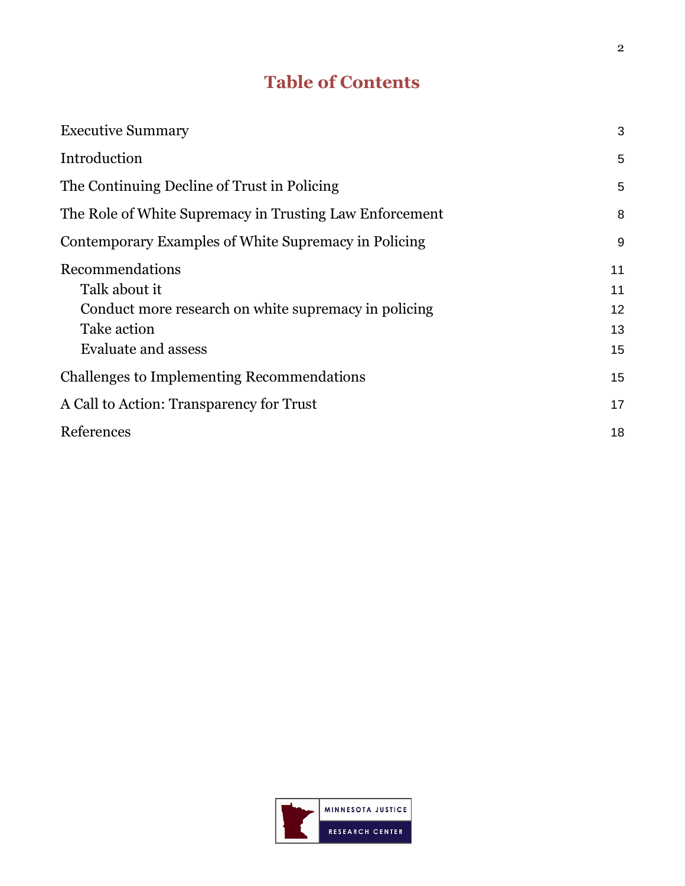## **Table of Contents**

| <b>Executive Summary</b>                                | 3  |
|---------------------------------------------------------|----|
| Introduction                                            | 5  |
| The Continuing Decline of Trust in Policing             | 5  |
| The Role of White Supremacy in Trusting Law Enforcement | 8  |
| Contemporary Examples of White Supremacy in Policing    | 9  |
| Recommendations                                         | 11 |
| Talk about it                                           | 11 |
| Conduct more research on white supremacy in policing    | 12 |
| Take action                                             | 13 |
| Evaluate and assess                                     | 15 |
| <b>Challenges to Implementing Recommendations</b>       | 15 |
| A Call to Action: Transparency for Trust                | 17 |
| References                                              | 18 |

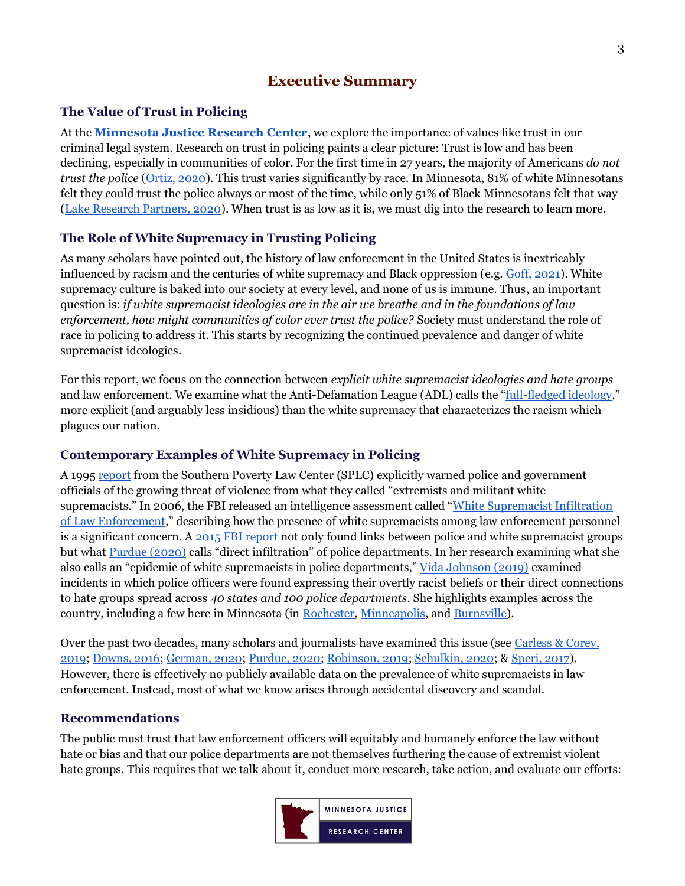## **Executive Summary**

## <span id="page-2-0"></span>**The Value of Trust in Policing**

At the **[Minnesota Justice Research Center](http://mnjrc.org/)**, we explore the importance of values like trust in our criminal legal system. Research on trust in policing paints a clear picture: Trust is low and has been declining, especially in communities of color. For the first time in 27 years, the majority of Americans *do not trust the police* [\(Ortiz, 2020\)](https://www.nytimes.com/2020/08/12/us/gallup-poll-police.html). This trust varies significantly by race. In Minnesota, 81% of white Minnesotans felt they could trust the police always or most of the time, while only 51% of Black Minnesotans felt that way [\(Lake Research Partners, 2020\)](https://mn.gov/cmah/assets/Police%20Reform%20Poll%20Executive%20Summary_tcm32-448444.pdf). When trust is as low as it is, we must dig into the research to learn more.

## **The Role of White Supremacy in Trusting Policing**

As many scholars have pointed out, the history of law enforcement in the United States is inextricably influenced by racism and the centuries of white supremacy and Black oppression (e.g. [Goff, 2021\)](https://www.annualreviews.org/doi/10.1146/annurev-criminol-093020-022549). White supremacy culture is baked into our society at every level, and none of us is immune. Thus, an important question is: *if white supremacist ideologies are in the air we breathe and in the foundations of law enforcement, how might communities of color ever trust the police?* Society must understand the role of race in policing to address it. This starts by recognizing the continued prevalence and danger of white supremacist ideologies.

For this report, we focus on the connection between *explicit white supremacist ideologies and hate groups* and law enforcement. We examine what the Anti-Defamation League (ADL) calls the "[full-fledged ideology](https://www.adl.org/resources/glossary-terms/white-supremacy)," more explicit (and arguably less insidious) than the white supremacy that characterizes the racism which plagues our nation.

## **Contemporary Examples of White Supremacy in Policing**

A 1995 [report](https://www.ncjrs.gov/App/abstractdb/AbstractDBDetails.aspx?id=172187) from the Southern Poverty Law Center (SPLC) explicitly warned police and government officials of the growing threat of violence from what they called "extremists and militant white supremacists." In 2006, the FBI released an intelligence assessment called "[White Supremacist Infiltration](http://s3.documentcloud.org/documents/402521/doc-26-white-supremacist-infiltration.pdf)  [of Law Enforcement](http://s3.documentcloud.org/documents/402521/doc-26-white-supremacist-infiltration.pdf)," describing how the presence of white supremacists among law enforcement personnel is a significant concern. A  $2015$  FBI report not only found links between police and white supremacist groups but what [Purdue \(2020\)](https://www.opendemocracy.net/en/countering-radical-right/other-epidemic-white-supremacists-law-enforcement/) calls "direct infiltration" of police departments. In her research examining what she also calls an "epidemic of white supremacists in police departments," [Vida Johnson \(2019\)](https://www.wedontowenobody.com/wp-content/uploads/2019/09/lcb231article2johnsonpdf.pdf) examined incidents in which police officers were found expressing their overtly racist beliefs or their direct connections to hate groups spread across *40 states and 100 police departments*. She highlights examples across the country, including a few here in Minnesota (in [Rochester,](https://www.twincities.com/2016/02/22/rochester-cop-facebook-posts-against-protesters-muslims/) [Minneapolis,](https://www.startribune.com/two-white-mpls-cops-fired-over-racial-slurs-incident-in-green-bay/234280301/) and [Burnsville\)](https://www.startribune.com/burnsville-cop-resigns-after-testifying-that-he-exchanged-racially-charged-texts-with-protest-shooter/411926216/?refresh=true).

Over the past two decades, many scholars and journalists have examined this issue (see [Carless &](https://revealnews.org/article/inside-hate-groups-on-facebook-police-officers-trade-racist-memes-conspiracy-theories-and-islamophobia/) Corey, [2019;](https://revealnews.org/article/inside-hate-groups-on-facebook-police-officers-trade-racist-memes-conspiracy-theories-and-islamophobia/) [Downs, 2016;](https://www.pbs.org/newshour/nation/fbi-white-supremacists-in-law-enforcement) [German, 2020](https://www.brennancenter.org/our-work/analysis-opinion/white-supremacist-links-law-enforcement-are-urgent-concern); [Purdue, 2020;](https://www.opendemocracy.net/en/countering-radical-right/other-epidemic-white-supremacists-law-enforcement/) [Robinson, 2019;](https://www.theguardian.com/commentisfree/2019/aug/21/police-white-nationalists-racist-violence) [Schulkin, 2020;](https://www.justsecurity.org/70507/white-supremacist-infiltration-of-us-police-forces-fact-checking-national-security-advisor-obrien/) & [Speri, 2017\)](https://theintercept.com/2017/01/31/the-fbi-has-quietly-investigated-white-supremacist-infiltration-of-law-enforcement/). However, there is effectively no publicly available data on the prevalence of white supremacists in law enforcement. Instead, most of what we know arises through accidental discovery and scandal.

### **Recommendations**

The public must trust that law enforcement officers will equitably and humanely enforce the law without hate or bias and that our police departments are not themselves furthering the cause of extremist violent hate groups. This requires that we talk about it, conduct more research, take action, and evaluate our efforts:

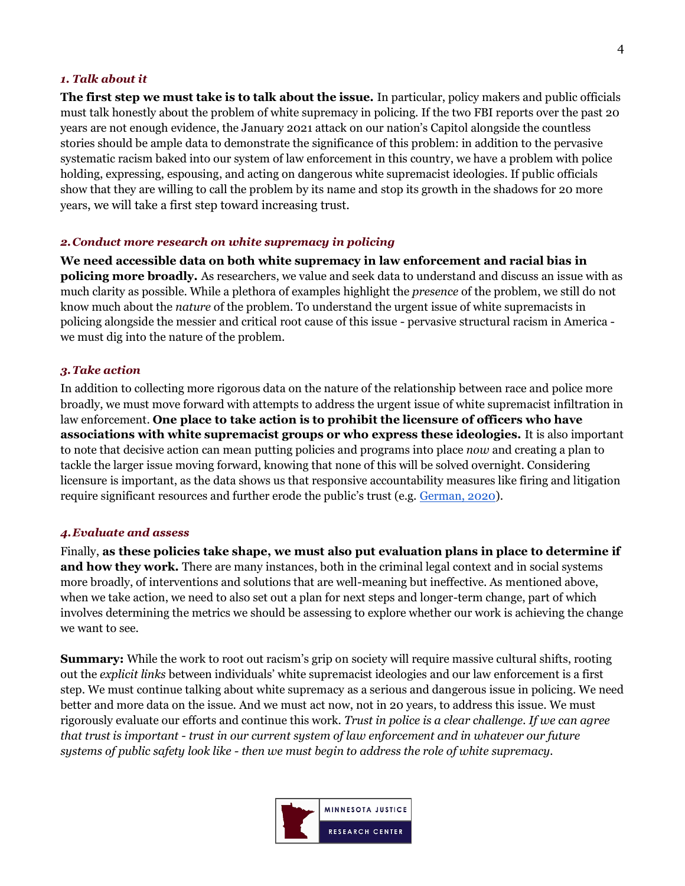#### *1. Talk about it*

**The first step we must take is to talk about the issue.** In particular, policy makers and public officials must talk honestly about the problem of white supremacy in policing. If the two FBI reports over the past 20 years are not enough evidence, the January 2021 attack on our nation's Capitol alongside the countless stories should be ample data to demonstrate the significance of this problem: in addition to the pervasive systematic racism baked into our system of law enforcement in this country, we have a problem with police holding, expressing, espousing, and acting on dangerous white supremacist ideologies. If public officials show that they are willing to call the problem by its name and stop its growth in the shadows for 20 more years, we will take a first step toward increasing trust.

#### *2[.Conduct more research on white supremacy](#page-11-0) in policing*

**We need accessible data on both white supremacy in law enforcement and racial bias in policing more broadly.** As researchers, we value and seek data to understand and discuss an issue with as much clarity as possible. While a plethora of examples highlight the *presence* of the problem, we still do not know much about the *nature* of the problem. To understand the urgent issue of white supremacists in policing alongside the messier and critical root cause of this issue - pervasive structural racism in America we must dig into the nature of the problem.

#### *3.Take action*

In addition to collecting more rigorous data on the nature of the relationship between race and police more broadly, we must move forward with attempts to address the urgent issue of white supremacist infiltration in law enforcement. **One place to take action is to prohibit the licensure of officers who have associations with white supremacist groups or who express these ideologies.** It is also important to note that decisive action can mean putting policies and programs into place *now* and creating a plan to tackle the larger issue moving forward, knowing that none of this will be solved overnight. Considering licensure is important, as the data shows us that responsive accountability measures like firing and litigation require significant resources and further erode the public's trust (e.g. [German, 2020\)](https://www.brennancenter.org/our-work/analysis-opinion/white-supremacist-links-law-enforcement-are-urgent-concern).

#### *4.Evaluate and assess*

Finally, **as these policies take shape, we must also put evaluation plans in place to determine if and how they work.** There are many instances, both in the criminal legal context and in social systems more broadly, of interventions and solutions that are well-meaning but ineffective. As mentioned above, when we take action, we need to also set out a plan for next steps and longer-term change, part of which involves determining the metrics we should be assessing to explore whether our work is achieving the change we want to see.

**Summary:** While the work to root out racism's grip on society will require massive cultural shifts, rooting out the *explicit links* between individuals' white supremacist ideologies and our law enforcement is a first step. We must continue talking about white supremacy as a serious and dangerous issue in policing. We need better and more data on the issue. And we must act now, not in 20 years, to address this issue. We must rigorously evaluate our efforts and continue this work. *Trust in police is a clear challenge. If we can agree that trust is important - trust in our current system of law enforcement and in whatever our future systems of public safety look like - then we must begin to address the role of white supremacy.* 

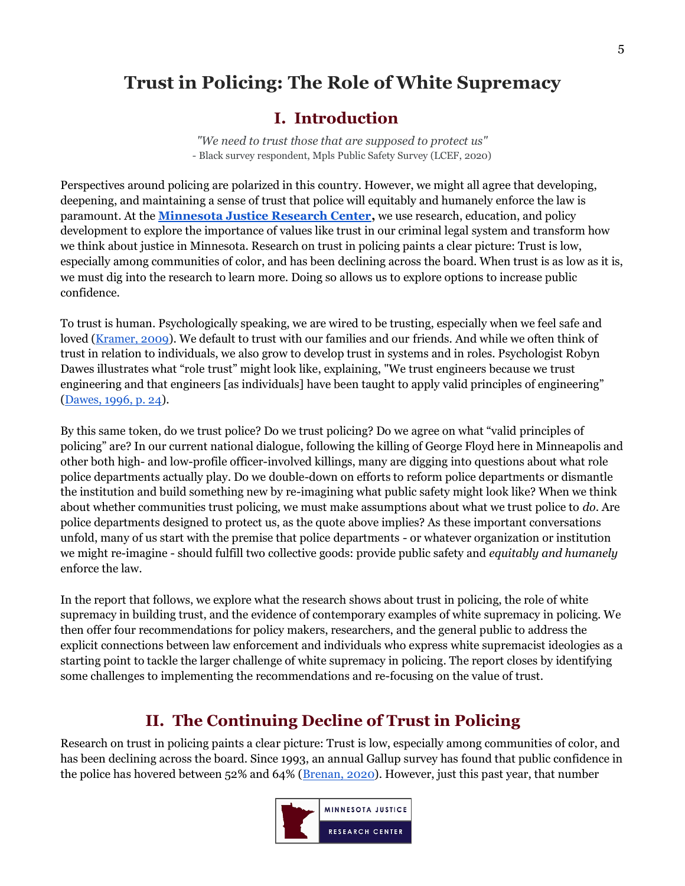## <span id="page-4-0"></span>**Trust in Policing: The Role of White Supremacy**

## **I. Introduction**

*"We need to trust those that are supposed to protect us"*  - Black survey respondent, Mpls Public Safety Survey (LCEF, 2020)

Perspectives around policing are polarized in this country. However, we might all agree that developing, deepening, and maintaining a sense of trust that police will equitably and humanely enforce the law is paramount. At the **[Minnesota Justice Research Center,](http://mnjrc.org/)** we use research, education, and policy development to explore the importance of values like trust in our criminal legal system and transform how we think about justice in Minnesota. Research on trust in policing paints a clear picture: Trust is low, especially among communities of color, and has been declining across the board. When trust is as low as it is, we must dig into the research to learn more. Doing so allows us to explore options to increase public confidence.

To trust is human. Psychologically speaking, we are wired to be trusting, especially when we feel safe and loved [\(Kramer, 2009\)](https://hbr.org/2009/06/rethinking-trust). We default to trust with our families and our friends. And while we often think of trust in relation to individuals, we also grow to develop trust in systems and in roles. Psychologist Robyn Dawes illustrates what "role trust" might look like, explaining, "We trust engineers because we trust engineering and that engineers [as individuals] have been taught to apply valid principles of engineering" [\(Dawes, 1996, p. 24\)](https://www.simonandschuster.com/books/House-of-Cards/Robyn-Dawes/9780684830919).

By this same token, do we trust police? Do we trust policing? Do we agree on what "valid principles of policing" are? In our current national dialogue, following the killing of George Floyd here in Minneapolis and other both high- and low-profile officer-involved killings, many are digging into questions about what role police departments actually play. Do we double-down on efforts to reform police departments or dismantle the institution and build something new by re-imagining what public safety might look like? When we think about whether communities trust policing, we must make assumptions about what we trust police to *do*. Are police departments designed to protect us, as the quote above implies? As these important conversations unfold, many of us start with the premise that police departments - or whatever organization or institution we might re-imagine - should fulfill two collective goods: provide public safety and *equitably and humanely*  enforce the law.

In the report that follows, we explore what the research shows about trust in policing, the role of white supremacy in building trust, and the evidence of contemporary examples of white supremacy in policing. We then offer four recommendations for policy makers, researchers, and the general public to address the explicit connections between law enforcement and individuals who express white supremacist ideologies as a starting point to tackle the larger challenge of white supremacy in policing. The report closes by identifying some challenges to implementing the recommendations and re-focusing on the value of trust.

## **II. The Continuing Decline of Trust in Policing**

<span id="page-4-1"></span>Research on trust in policing paints a clear picture: Trust is low, especially among communities of color, and has been declining across the board. Since 1993, an annual Gallup survey has found that public confidence in the police has hovered between 52% and 64% [\(Brenan, 2020\)](https://news.gallup.com/poll/317135/amid-pandemic-confidence-key-institutions-surges.aspx). However, just this past year, that number

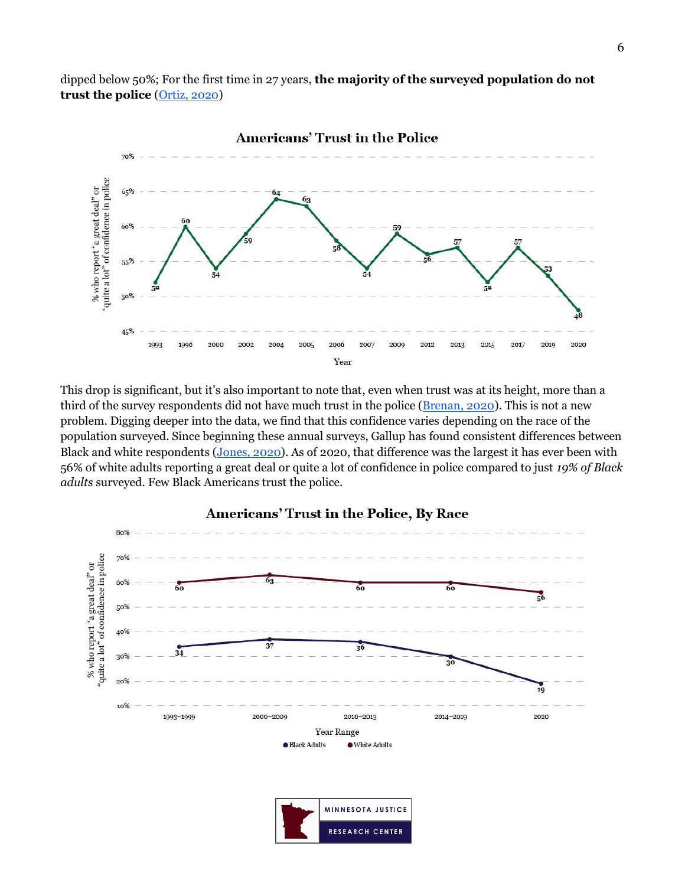dipped below 50%; For the first time in 27 years, **the majority of the surveyed population do not trust the police** [\(Ortiz, 2020\)](https://www.nytimes.com/2020/08/12/us/gallup-poll-police.html)



This drop is significant, but it's also important to note that, even when trust was at its height, more than a third of the survey respondents did not have much trust in the police [\(Brenan, 2020\)](https://news.gallup.com/poll/317135/amid-pandemic-confidence-key-institutions-surges.aspx). This is not a new problem. Digging deeper into the data, we find that this confidence varies depending on the race of the population surveyed. Since beginning these annual surveys, Gallup has found consistent differences between Black and white respondents [\(Jones,](https://news.gallup.com/poll/317114/black-white-adults-confidence-diverges-police.aspx) 2020). As of 2020, that difference was the largest it has ever been with 56% of white adults reporting a great deal or quite a lot of confidence in police compared to just *19% of Black adults* surveyed. Few Black Americans trust the police.



#### Americans' Trust in the Police, By Race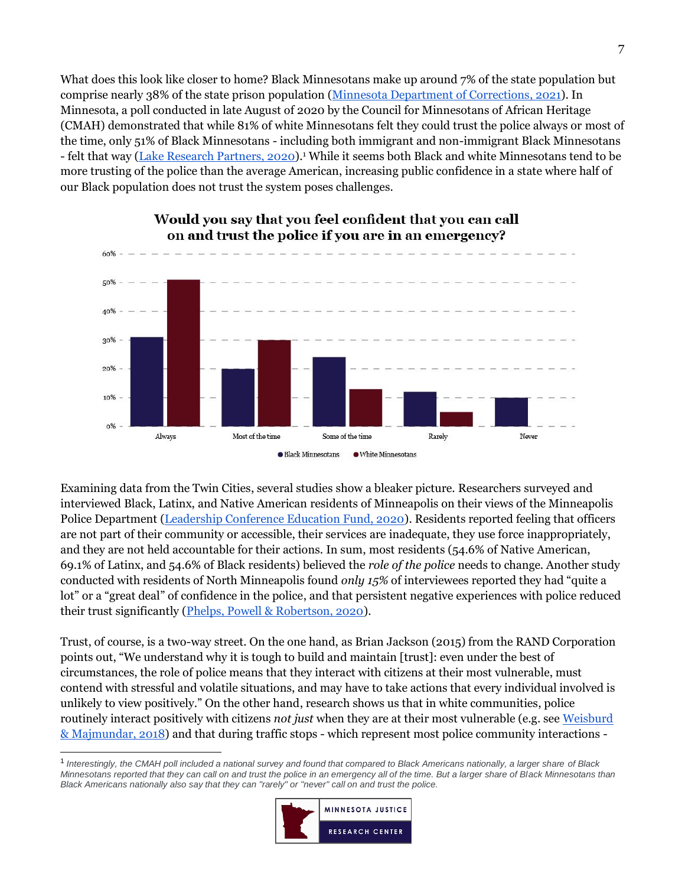What does this look like closer to home? Black Minnesotans make up around 7% of the state population but comprise nearly 38% of the state prison population [\(Minnesota Department of Corrections,](https://mn.gov/doc/assets/Adult%20Prison%20Population%20Summary%201-1-2021_tcm1089-467125.pdf) 2021). In Minnesota, a poll conducted in late August of 2020 by the Council for Minnesotans of African Heritage (CMAH) demonstrated that while 81% of white Minnesotans felt they could trust the police always or most of the time, only 51% of Black Minnesotans - including both immigrant and non-immigrant Black Minnesotans - felt that way (<u>Lake Research Partners, 2020</u>).<sup>1</sup> While it seems both Black and white Minnesotans tend to be more trusting of the police than the average American, increasing public confidence in a state where half of our Black population does not trust the system poses challenges.



#### Would you say that you feel confident that you can call on and trust the police if you are in an emergency?

Examining data from the Twin Cities, several studies show a bleaker picture. Researchers surveyed and interviewed Black, Latinx, and Native American residents of Minneapolis on their views of the Minneapolis Police Department [\(Leadership Conference Education Fund, 2020\)](https://civilrights.org/edfund/2020/12/10/new-survey-reveals-deep-dissatisfaction-with-minneapolis-police-department/). Residents reported feeling that officers are not part of their community or accessible, their services are inadequate, they use force inappropriately, and they are not held accountable for their actions. In sum, most residents (54.6% of Native American, 69.1% of Latinx, and 54.6% of Black residents) believed the *role of the police* needs to change. Another study conducted with residents of North Minneapolis found *only 15%* of interviewees reported they had "quite a lot" or a "great deal" of confidence in the police, and that persistent negative experiences with police reduced their trust significantly [\(Phelps, Powell & Robertson, 2020\)](https://www.cura.umn.edu/research/over-policed-and-under-protected-public-safety-north-minneapolis?utm_source=CURA&utm_campaign=1de07b59e8-CBR_Email-Spring-2018_COPY_01&utm_medium=email&utm_term=0_580f30cfc5-1de07b59e8-433956901#Project%20Background).

Trust, of course, is a two-way street. On the one hand, as Brian Jackson (2015) from the RAND Corporation points out, "We understand why it is tough to build and maintain [trust]: even under the best of circumstances, the role of police means that they interact with citizens at their most vulnerable, must contend with stressful and volatile situations, and may have to take actions that every individual involved is unlikely to view positively." On the other hand, research shows us that in white communities, police routinely interact positively with citizens *not just* when they are at their most vulnerable (e.g. see [Weisburd](https://www.nap.edu/read/24928/chapter/9)  [& Majmundar, 2018\)](https://www.nap.edu/read/24928/chapter/9) and that during traffic stops - which represent most police community interactions -

<sup>1</sup> *Interestingly, the CMAH poll included a national survey and found that compared to Black Americans nationally, a larger share of Black Minnesotans reported that they can call on and trust the police in an emergency all of the time. But a larger share of Black Minnesotans than Black Americans nationally also say that they can "rarely" or "never" call on and trust the police.*

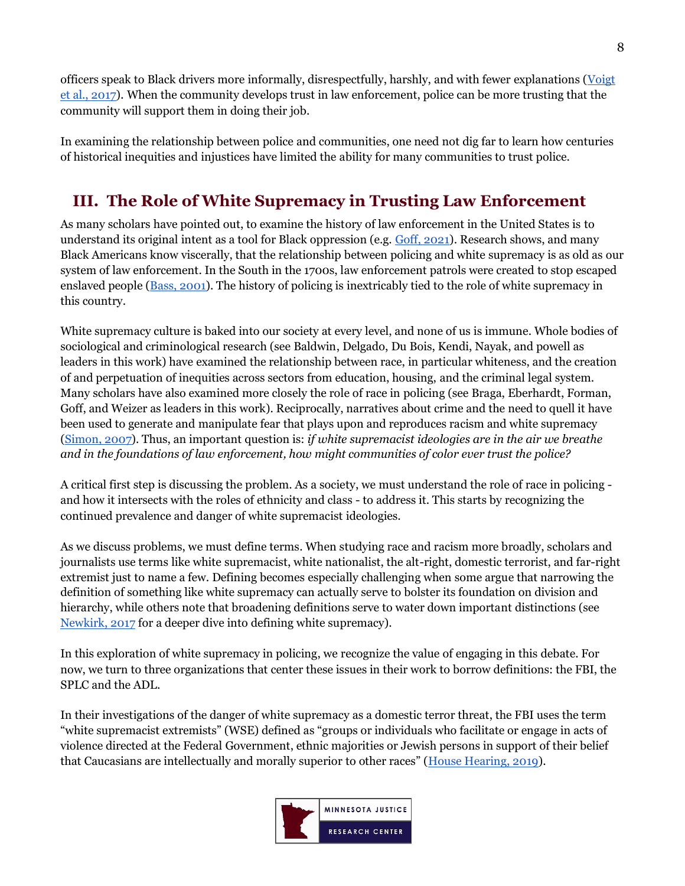officers speak to Black drivers more informally, disrespectfully, harshly, and with fewer explanations [\(Voigt](https://www.pnas.org/content/114/25/6521)  [et al., 2017\)](https://www.pnas.org/content/114/25/6521). When the community develops trust in law enforcement, police can be more trusting that the community will support them in doing their job.

In examining the relationship between police and communities, one need not dig far to learn how centuries of historical inequities and injustices have limited the ability for many communities to trust police.

## <span id="page-7-0"></span>**III. The Role of White Supremacy in Trusting Law Enforcement**

As many scholars have pointed out, to examine the history of law enforcement in the United States is to understand its original intent as a tool for Black oppression (e.g. [Goff, 2021\)](https://drive.google.com/file/d/1vWUxTqv6SzBdIGyohB1VI8I0OyiwsK6g/view?usp=sharing). Research shows, and many Black Americans know viscerally, that the relationship between policing and white supremacy is as old as our system of law enforcement. In the South in the 1700s, law enforcement patrols were created to stop escaped enslaved people [\(Bass, 2001\)](https://www.jstor.org/stable/29768062?seq=1). The history of policing is inextricably tied to the role of white supremacy in this country.

White supremacy culture is baked into our society at every level, and none of us is immune. Whole bodies of sociological and criminological research (see Baldwin, Delgado, Du Bois, Kendi, Nayak, and powell as leaders in this work) have examined the relationship between race, in particular whiteness, and the creation of and perpetuation of inequities across sectors from education, housing, and the criminal legal system. Many scholars have also examined more closely the role of race in policing (see Braga, Eberhardt, Forman, Goff, and Weizer as leaders in this work). Reciprocally, narratives about crime and the need to quell it have been used to generate and manipulate fear that plays upon and reproduces racism and white supremacy [\(Simon, 2007\)](https://www.google.com/books/edition/Governing_Through_Crime_How_the_War_on_C/N2VQKWSt2oMC?hl=en). Thus, an important question is: *if white supremacist ideologies are in the air we breathe and in the foundations of law enforcement, how might communities of color ever trust the police?* 

A critical first step is discussing the problem. As a society, we must understand the role of race in policing and how it intersects with the roles of ethnicity and class - to address it. This starts by recognizing the continued prevalence and danger of white supremacist ideologies.

As we discuss problems, we must define terms. When studying race and racism more broadly, scholars and journalists use terms like white supremacist, white nationalist, the alt-right, domestic terrorist, and far-right extremist just to name a few. Defining becomes especially challenging when some argue that narrowing the definition of something like white supremacy can actually serve to bolster its foundation on division and hierarchy, while others note that broadening definitions serve to water down important distinctions (see [Newkirk, 2017](https://www.theatlantic.com/politics/archive/2017/10/the-language-of-white-supremacy/542148/) for a deeper dive into defining white supremacy).

In this exploration of white supremacy in policing, we recognize the value of engaging in this debate. For now, we turn to three organizations that center these issues in their work to borrow definitions: the FBI, the SPLC and the ADL.

In their investigations of the danger of white supremacy as a domestic terror threat, the FBI uses the term "white supremacist extremists" (WSE) defined as "groups or individuals who facilitate or engage in acts of violence directed at the Federal Government, ethnic majorities or Jewish persons in support of their belief that Caucasians are intellectually and morally superior to other races" ([House Hearing, 2019\)](https://www.govinfo.gov/content/pkg/CHRG-116hhrg36828/html/CHRG-116hhrg36828.htm).

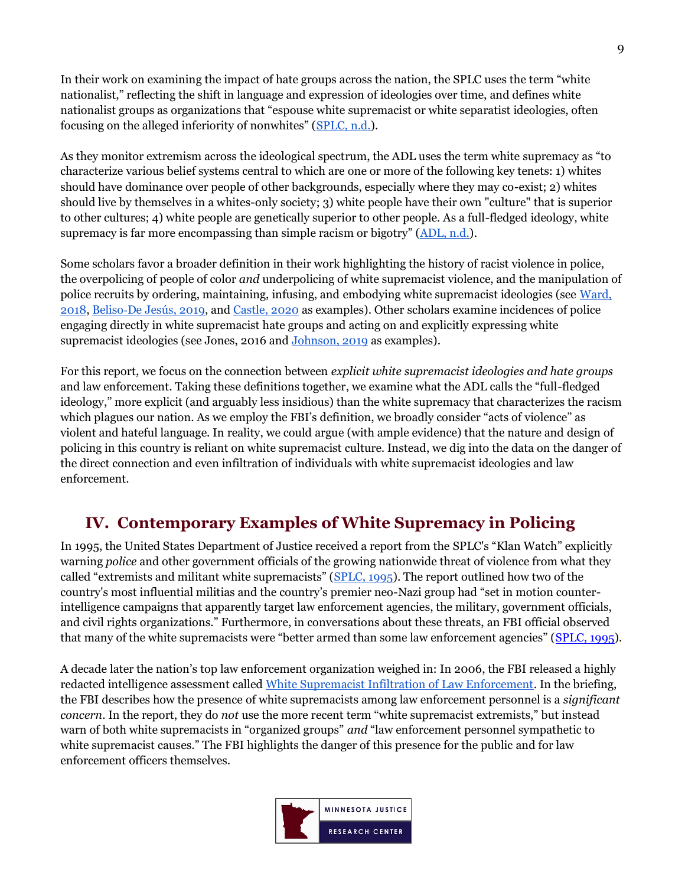In their work on examining the impact of hate groups across the nation, the SPLC uses the term "white nationalist," reflecting the shift in language and expression of ideologies over time, and defines white nationalist groups as organizations that "espouse white supremacist or white separatist ideologies, often focusing on the alleged inferiority of nonwhites" ([SPLC, n.d.\)](https://www.splcenter.org/fighting-hate/extremist-files/ideology/white-nationalist).

As they monitor extremism across the ideological spectrum, the ADL uses the term white supremacy as "to characterize various belief systems central to which are one or more of the following key tenets: 1) whites should have dominance over people of other backgrounds, especially where they may co-exist; 2) whites should live by themselves in a whites-only society; 3) white people have their own "culture" that is superior to other cultures; 4) white people are genetically superior to other people. As a full-fledged ideology, white supremacy is far more encompassing than simple racism or bigotry"  $(ADL, n.d.).$  $(ADL, n.d.).$  $(ADL, n.d.).$ 

Some scholars favor a broader definition in their work highlighting the history of racist violence in police, the overpolicing of people of color *and* underpolicing of white supremacist violence, and the manipulation of police recruits by ordering, maintaining, infusing, and embodying white supremacist ideologies (see [Ward,](https://www.cambridge.org/core/journals/du-bois-review-social-science-research-on-race/article/living-histories-of-white-supremacist-policing/E2503031AD0D2A85B464E56D44930166)  [2018,](https://www.cambridge.org/core/journals/du-bois-review-social-science-research-on-race/article/living-histories-of-white-supremacist-policing/E2503031AD0D2A85B464E56D44930166) Beliso‐[De Jesús, 2019,](https://anthrosource.onlinelibrary.wiley.com/doi/abs/10.1111/aman.13357) and [Castle, 2020](https://link.springer.com/article/10.1007/s10612-020-09493-6?fbclid=IwAR3sS5jJAFsudv69SGfQgvPEsHhxxMYOLsqDJ_SHwxudnGN_hbqxvJPBQjo) as examples). Other scholars examine incidences of police engaging directly in white supremacist hate groups and acting on and explicitly expressing white supremacist ideologies (see Jones, 2016 and [Johnson, 2019](https://www.wedontowenobody.com/wp-content/uploads/2019/09/lcb231article2johnsonpdf.pdf) as examples).

For this report, we focus on the connection between *explicit white supremacist ideologies and hate groups* and law enforcement. Taking these definitions together, we examine what the ADL calls the "full-fledged ideology," more explicit (and arguably less insidious) than the white supremacy that characterizes the racism which plagues our nation. As we employ the FBI's definition, we broadly consider "acts of violence" as violent and hateful language. In reality, we could argue (with ample evidence) that the nature and design of policing in this country is reliant on white supremacist culture. Instead, we dig into the data on the danger of the direct connection and even infiltration of individuals with white supremacist ideologies and law enforcement.

## <span id="page-8-0"></span>**IV. Contemporary Examples of White Supremacy in Policing**

In 1995, the United States Department of Justice received a report from the SPLC's "Klan Watch" explicitly warning *police* and other government officials of the growing nationwide threat of violence from what they called "extremists and militant white supremacists" ([SPLC, 1995\)](https://www.ncjrs.gov/App/abstractdb/AbstractDBDetails.aspx?id=172187). The report outlined how two of the country's most influential militias and the country's premier neo-Nazi group had "set in motion counterintelligence campaigns that apparently target law enforcement agencies, the military, government officials, and civil rights organizations." Furthermore, in conversations about these threats, an FBI official observed that many of the white supremacists were "better armed than some law enforcement agencies" ([SPLC, 1995\)](https://www.ncjrs.gov/App/abstractdb/AbstractDBDetails.aspx?id=172187).

A decade later the nation's top law enforcement organization weighed in: In 2006, the FBI released a highly redacted intelligence assessment called White Supremacist [Infiltration of Law Enforcement.](http://s3.documentcloud.org/documents/402521/doc-26-white-supremacist-infiltration.pdf) In the briefing, the FBI describes how the presence of white supremacists among law enforcement personnel is a *significant concern*. In the report, they do *not* use the more recent term "white supremacist extremists," but instead warn of both white supremacists in "organized groups" *and* "law enforcement personnel sympathetic to white supremacist causes." The FBI highlights the danger of this presence for the public and for law enforcement officers themselves.

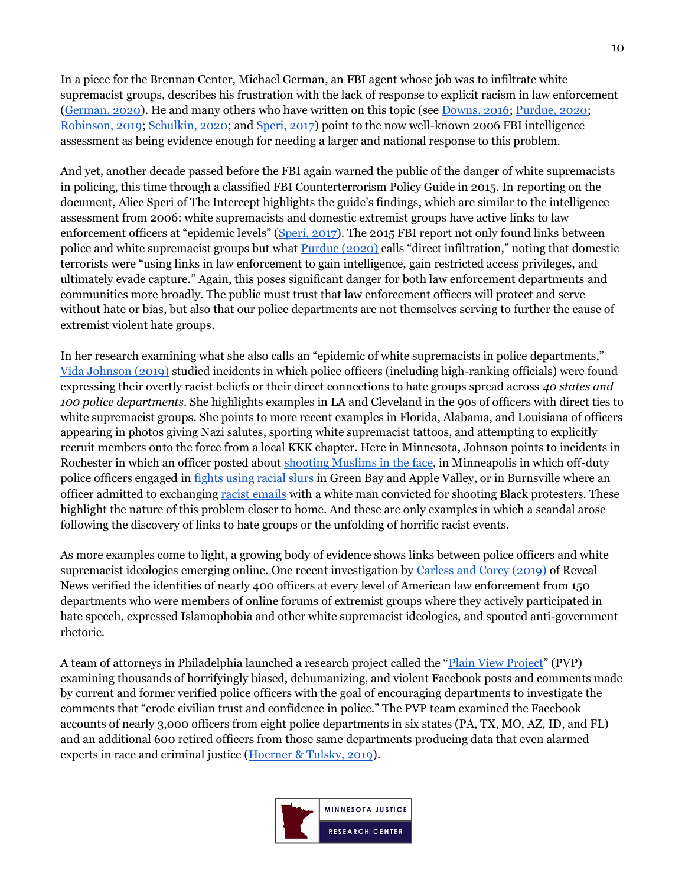In a piece for the Brennan Center, Michael German, an FBI agent whose job was to infiltrate white supremacist groups, describes his frustration with the lack of response to explicit racism in law enforcement [\(German, 2020\)](https://www.brennancenter.org/our-work/analysis-opinion/white-supremacist-links-law-enforcement-are-urgent-concern). He and many others who have written on this topic (see [Downs, 2016;](https://www.pbs.org/newshour/nation/fbi-white-supremacists-in-law-enforcement) [Purdue, 2020;](https://www.opendemocracy.net/en/countering-radical-right/other-epidemic-white-supremacists-law-enforcement/) [Robinson, 2019;](https://www.theguardian.com/commentisfree/2019/aug/21/police-white-nationalists-racist-violence) [Schulkin, 2020;](https://www.justsecurity.org/70507/white-supremacist-infiltration-of-us-police-forces-fact-checking-national-security-advisor-obrien/) and [Speri, 2017\)](https://theintercept.com/2017/01/31/the-fbi-has-quietly-investigated-white-supremacist-infiltration-of-law-enforcement/) point to the now well-known 2006 FBI intelligence assessment as being evidence enough for needing a larger and national response to this problem.

And yet, another decade passed before the FBI again warned the public of the danger of white supremacists in policing, this time through a classified FBI Counterterrorism Policy Guide in 2015. In reporting on the document, Alice Speri of The Intercept highlights the guide's findings, which are similar to the intelligence assessment from 2006: white supremacists and domestic extremist groups have active links to law enforcement officers at "epidemic levels" ([Speri, 2017\)](https://theintercept.com/2017/01/31/the-fbi-has-quietly-investigated-white-supremacist-infiltration-of-law-enforcement/). The 2015 FBI report not only found links between police and white supremacist groups but what [Purdue \(2020\)](https://www.opendemocracy.net/en/countering-radical-right/other-epidemic-white-supremacists-law-enforcement/) calls "direct infiltration," noting that domestic terrorists were "using links in law enforcement to gain intelligence, gain restricted access privileges, and ultimately evade capture." Again, this poses significant danger for both law enforcement departments and communities more broadly. The public must trust that law enforcement officers will protect and serve without hate or bias, but also that our police departments are not themselves serving to further the cause of extremist violent hate groups.

In her research examining what she also calls an "epidemic of white supremacists in police departments," [Vida Johnson \(2019\)](https://www.wedontowenobody.com/wp-content/uploads/2019/09/lcb231article2johnsonpdf.pdf) studied incidents in which police officers (including high-ranking officials) were found expressing their overtly racist beliefs or their direct connections to hate groups spread across *40 states and 100 police departments*. She highlights examples in LA and Cleveland in the 90s of officers with direct ties to white supremacist groups. She points to more recent examples in Florida, Alabama, and Louisiana of officers appearing in photos giving Nazi salutes, sporting white supremacist tattoos, and attempting to explicitly recruit members onto the force from a local KKK chapter. Here in Minnesota, Johnson points to incidents in Rochester in which an officer posted about [shooting Muslims in the face,](https://www.twincities.com/2016/02/22/rochester-cop-facebook-posts-against-protesters-muslims/) in Minneapolis in which off-duty police officers engaged in [fights using racial slurs i](https://www.startribune.com/two-white-mpls-cops-fired-over-racial-slurs-incident-in-green-bay/234280301/)n Green Bay and Apple Valley, or in Burnsville where an officer admitted to exchanging [racist emails](https://www.startribune.com/burnsville-cop-resigns-after-testifying-that-he-exchanged-racially-charged-texts-with-protest-shooter/411926216/?refresh=true) with a white man convicted for shooting Black protesters. These highlight the nature of this problem closer to home. And these are only examples in which a scandal arose following the discovery of links to hate groups or the unfolding of horrific racist events.

As more examples come to light, a growing body of evidence shows links between police officers and white supremacist ideologies emerging online. One recent investigation by [Carless and Corey \(2019\)](https://revealnews.org/article/inside-hate-groups-on-facebook-police-officers-trade-racist-memes-conspiracy-theories-and-islamophobia/) of Reveal News verified the identities of nearly 400 officers at every level of American law enforcement from 150 departments who were members of online forums of extremist groups where they actively participated in hate speech, expressed Islamophobia and other white supremacist ideologies, and spouted anti-government rhetoric.

A team of attorneys in Philadelphia launched a research project called the "[Plain View Project](https://www.plainviewproject.org/)" (PVP) examining thousands of horrifyingly biased, dehumanizing, and violent Facebook posts and comments made by current and former verified police officers with the goal of encouraging departments to investigate the comments that "erode civilian trust and confidence in police." The PVP team examined the Facebook accounts of nearly 3,000 officers from eight police departments in six states (PA, TX, MO, AZ, ID, and FL) and an additional 600 retired officers from those same departments producing data that even alarmed experts in race and criminal justice [\(Hoerner & Tulsky, 2019\)](https://www.buzzfeednews.com/article/emilyhoerner/police-facebook-racist-violent-posts-comments-philadelphia).

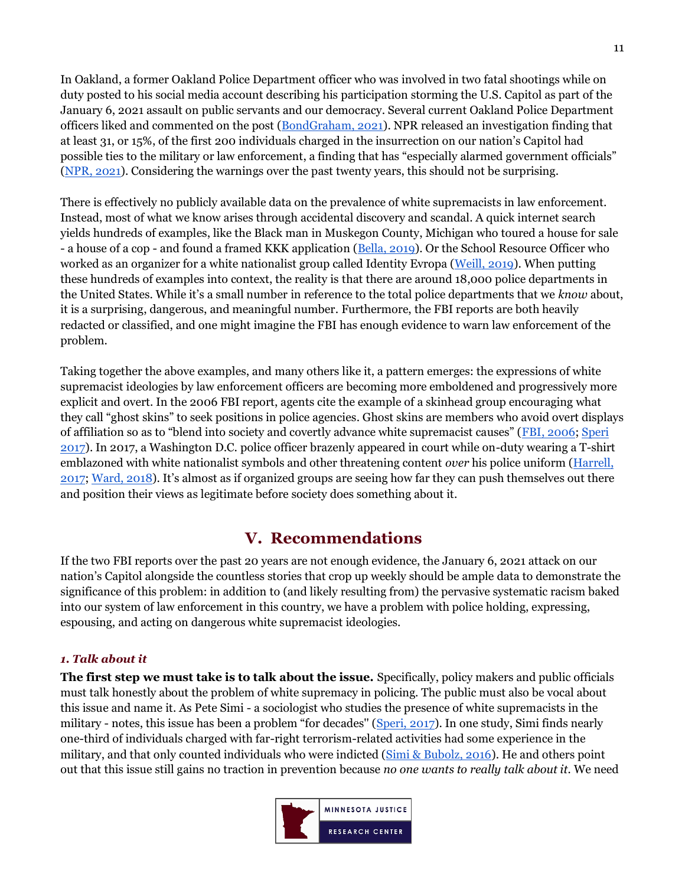In Oakland, a former Oakland Police Department officer who was involved in two fatal shootings while on duty posted to his social media account describing his participation storming the U.S. Capitol as part of the January 6, 2021 assault on public servants and our democracy. Several current Oakland Police Department officers liked and commented on the post [\(BondGraham, 2021\)](https://oaklandside.org/2021/01/07/former-oakland-police-officer-defends-capitol-mob-and-spreads-conspiracies-earning-likes-from-opd-officers/?fbclid=IwAR35s_6mA316MVooGAYkGisZm4ItqdltYNG5JHiiKmhhgzvN8eAeoNX11YQ). NPR released an investigation finding that at least 31, or 15%, of the first 200 individuals charged in the insurrection on our nation's Capitol had possible ties to the military or law enforcement, a finding that has "especially alarmed government officials" [\(NPR, 2021\)](https://www.npr.org/2021/02/09/965472049/the-capitol-siege-the-arrested-and-their-stories?origin=NOTIFY). Considering the warnings over the past twenty years, this should not be surprising.

There is effectively no publicly available data on the prevalence of white supremacists in law enforcement. Instead, most of what we know arises through accidental discovery and scandal. A quick internet search yields hundreds of examples, like the Black man in Muskegon County, Michigan who toured a house for sale - a house of a cop - and found a framed KKK application [\(Bella, 2019\)](https://www.washingtonpost.com/nation/2019/08/09/black-man-michigan-cop-kkk-house-suspension/). Or the School Resource Officer who worked as an organizer for a white nationalist group called Identity Evropa [\(Weill, 2019\)](https://www.thedailybeast.com/virginia-cop-daniel-morley-revealed-as-identity-evropa-member). When putting these hundreds of examples into context, the reality is that there are around 18,000 police departments in the United States. While it's a small number in reference to the total police departments that we *know* about, it is a surprising, dangerous, and meaningful number. Furthermore, the FBI reports are both heavily redacted or classified, and one might imagine the FBI has enough evidence to warn law enforcement of the problem.

Taking together the above examples, and many others like it, a pattern emerges: the expressions of white supremacist ideologies by law enforcement officers are becoming more emboldened and progressively more explicit and overt. In the 2006 FBI report, agents cite the example of a skinhead group encouraging what they call "ghost skins" to seek positions in police agencies. Ghost skins are members who avoid overt displays of affiliation so as to "blend into society and covertly advance white supremacist causes" ([FBI, 2006;](http://s3.documentcloud.org/documents/402521/doc-26-white-supremacist-infiltration.pdf) [Speri](https://theintercept.com/2017/01/31/the-fbi-has-quietly-investigated-white-supremacist-infiltration-of-law-enforcement/)  [2017\)](https://theintercept.com/2017/01/31/the-fbi-has-quietly-investigated-white-supremacist-infiltration-of-law-enforcement/). In 2017, a Washington D.C. police officer brazenly appeared in court while on-duty wearing a T-shirt emblazoned with white nationalist symbols and other threatening content *over* his police uniform [\(Harrell,](https://www.miamiherald.com/news/nation-world/national/article164370727.html)  [2017;](https://www.miamiherald.com/news/nation-world/national/article164370727.html) [Ward, 2018](https://www.cambridge.org/core/journals/du-bois-review-social-science-research-on-race/article/living-histories-of-white-supremacist-policing/E2503031AD0D2A85B464E56D44930166)). It's almost as if organized groups are seeing how far they can push themselves out there and position their views as legitimate before society does something about it.

## **V. Recommendations**

<span id="page-10-0"></span>If the two FBI reports over the past 20 years are not enough evidence, the January 6, 2021 attack on our nation's Capitol alongside the countless stories that crop up weekly should be ample data to demonstrate the significance of this problem: in addition to (and likely resulting from) the pervasive systematic racism baked into our system of law enforcement in this country, we have a problem with police holding, expressing, espousing, and acting on dangerous white supremacist ideologies.

### <span id="page-10-1"></span>*1. Talk about it*

**The first step we must take is to talk about the issue.** Specifically, policy makers and public officials must talk honestly about the problem of white supremacy in policing. The public must also be vocal about this issue and name it. As Pete Simi - a sociologist who studies the presence of white supremacists in the military - notes, this issue has been a problem "for decades'' ([Speri, 2017\)](https://theintercept.com/2017/01/31/the-fbi-has-quietly-investigated-white-supremacist-infiltration-of-law-enforcement/). In one study, Simi finds nearly one-third of individuals charged with far-right terrorism-related activities had some experience in the military, and that only counted individuals who were indicted [\(Simi & Bubolz, 2016\)](https://onlinelibrary.wiley.com/doi/pdf/10.1002/9781118923986.ch19). He and others point out that this issue still gains no traction in prevention because *no one wants to really talk about it.* We need

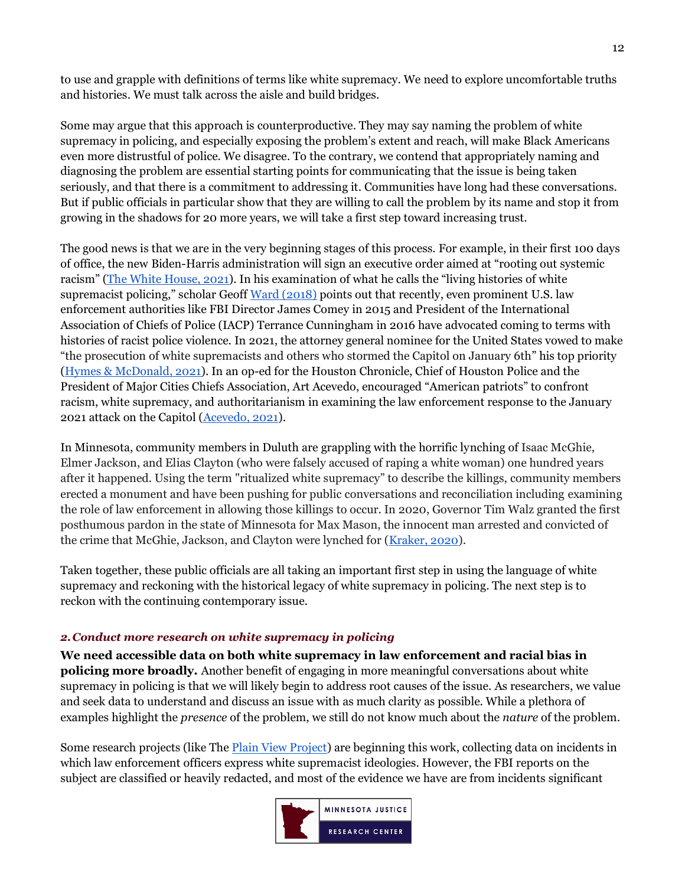to use and grapple with definitions of terms like white supremacy. We need to explore uncomfortable truths and histories. We must talk across the aisle and build bridges.

Some may argue that this approach is counterproductive. They may say naming the problem of white supremacy in policing, and especially exposing the problem's extent and reach, will make Black Americans even more distrustful of police. We disagree. To the contrary, we contend that appropriately naming and diagnosing the problem are essential starting points for communicating that the issue is being taken seriously, and that there is a commitment to addressing it. Communities have long had these conversations. But if public officials in particular show that they are willing to call the problem by its name and stop it from growing in the shadows for 20 more years, we will take a first step toward increasing trust.

The good news is that we are in the very beginning stages of this process. For example, in their first 100 days of office, the new Biden-Harris administration will sign an executive order aimed at "rooting out systemic racism" ([The White House, 2021](https://www.whitehouse.gov/briefing-room/statements-releases/2021/01/20/fact-sheet-president-elect-bidens-day-one-executive-actions-deliver-relief-for-families-across-america-amid-converging-crises/)). In his examination of what he calls the "living histories of white supremacist policing," scholar Geoff [Ward \(2018\)](https://www.cambridge.org/core/journals/du-bois-review-social-science-research-on-race/article/living-histories-of-white-supremacist-policing/E2503031AD0D2A85B464E56D44930166) points out that recently, even prominent U.S. law enforcement authorities like FBI Director James Comey in 2015 and President of the International Association of Chiefs of Police (IACP) Terrance Cunningham in 2016 have advocated coming to terms with histories of racist police violence. In 2021, the attorney general nominee for the United States vowed to make "the prosecution of white supremacists and others who stormed the Capitol on January 6th" his top priority [\(Hymes & McDonald, 2021\)](https://www.cbsnews.com/news/merrick-garland-attorney-general-confirmation-hearing-capitol-riot/). In an op-ed for the Houston Chronicle, Chief of Houston Police and the President of Major Cities Chiefs Association, Art Acevedo, encouraged "American patriots" to confront racism, white supremacy, and authoritarianism in examining the law enforcement response to the January 2021 attack on the Capitol [\(Acevedo, 2021\)](https://www.houstonchronicle.com/opinion/outlook/article/Acevedo-We-need-a-national-commission-to-15868596.php).

In Minnesota, community members in Duluth are grappling with the horrific lynching of Isaac McGhie, Elmer Jackson, and Elias Clayton (who were falsely accused of raping a white woman) one hundred years after it happened. Using the term "ritualized white supremacy" to describe the killings, community members erected a monument and have been pushing for public conversations and reconciliation including examining the role of law enforcement in allowing those killings to occur. In 2020, Governor Tim Walz granted the first posthumous pardon in the state of Minnesota for Max Mason, the innocent man arrested and convicted of the crime that McGhie, Jackson, and Clayton were lynched for [\(Kraker,](https://www.mprnews.org/story/2020/06/15/we-never-solved-the-problem-echoes-of-1920-duluth-lynching-persist-as-city-marks-centennial) 2020).

Taken together, these public officials are all taking an important first step in using the language of white supremacy and reckoning with the historical legacy of white supremacy in policing. The next step is to reckon with the continuing contemporary issue.

### <span id="page-11-0"></span>*2.Conduct more research on white supremacy in policing*

**We need accessible data on both white supremacy in law enforcement and racial bias in policing more broadly.** Another benefit of engaging in more meaningful conversations about white supremacy in policing is that we will likely begin to address root causes of the issue. As researchers, we value and seek data to understand and discuss an issue with as much clarity as possible. While a plethora of examples highlight the *presence* of the problem, we still do not know much about the *nature* of the problem.

Some research projects (like The [Plain View Project\)](https://www.plainviewproject.org/) are beginning this work, collecting data on incidents in which law enforcement officers express white supremacist ideologies. However, the FBI reports on the subject are classified or heavily redacted, and most of the evidence we have are from incidents significant

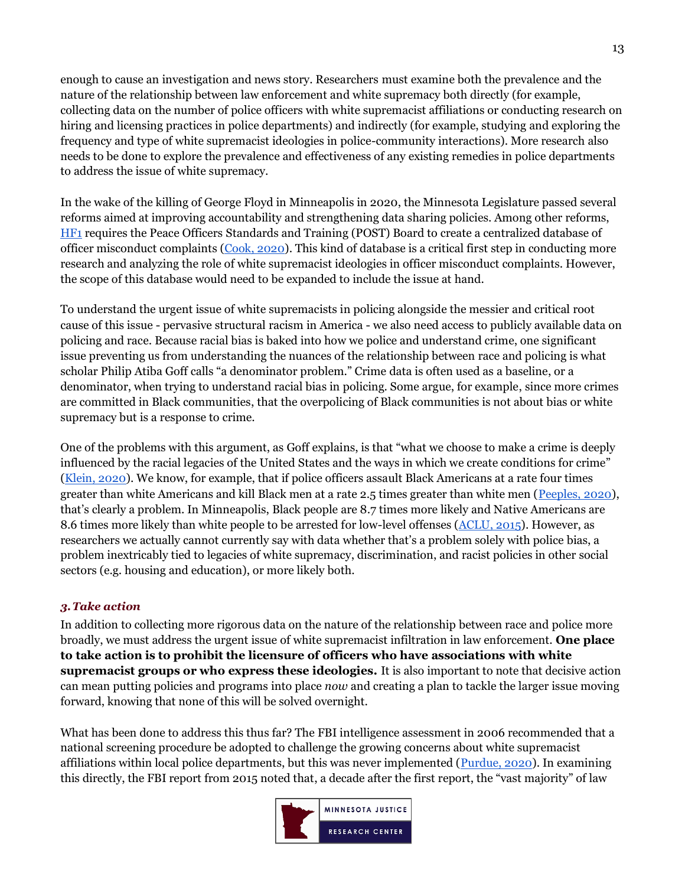enough to cause an investigation and news story. Researchers must examine both the prevalence and the nature of the relationship between law enforcement and white supremacy both directly (for example, collecting data on the number of police officers with white supremacist affiliations or conducting research on hiring and licensing practices in police departments) and indirectly (for example, studying and exploring the frequency and type of white supremacist ideologies in police-community interactions). More research also needs to be done to explore the prevalence and effectiveness of any existing remedies in police departments to address the issue of white supremacy.

In the wake of the killing of George Floyd in Minneapolis in 2020, the Minnesota Legislature passed several reforms aimed at improving accountability and strengthening data sharing policies. Among other reforms, [HF1](https://www.revisor.mn.gov/bills/text.php?session=ls91&number=HF1&session_number=2&session_year=2020&version=list) requires the Peace Officers Standards and Training (POST) Board to create a centralized database of officer misconduct complaints [\(Cook, 2020\)](https://www.house.leg.state.mn.us/SessionDaily/Story/15394). This kind of database is a critical first step in conducting more research and analyzing the role of white supremacist ideologies in officer misconduct complaints. However, the scope of this database would need to be expanded to include the issue at hand.

To understand the urgent issue of white supremacists in policing alongside the messier and critical root cause of this issue - pervasive structural racism in America - we also need access to publicly available data on policing and race. Because racial bias is baked into how we police and understand crime, one significant issue preventing us from understanding the nuances of the relationship between race and policing is what scholar Philip Atiba Goff calls "a denominator problem." Crime data is often used as a baseline, or a denominator, when trying to understand racial bias in policing. Some argue, for example, since more crimes are committed in Black communities, that the overpolicing of Black communities is not about bias or white supremacy but is a response to crime.

One of the problems with this argument, as Goff explains, is that "what we choose to make a crime is deeply influenced by the racial legacies of the United States and the ways in which we create conditions for crime" [\(Klein, 2020\)](https://www.vox.com/2020/9/15/21437156/police-racial-bias-shootings-the-ezra-klein-show). We know, for example, that if police officers assault Black Americans at a rate four times greater than white Americans and kill Black men at a rate 2.5 times greater than white men [\(Peeples, 2020\)](https://www.nature.com/articles/d41586-020-01846-z), that's clearly a problem. In Minneapolis, Black people are 8.7 times more likely and Native Americans are 8.6 times more likely than white people to be arrested for low-level offenses [\(ACLU, 2015\)](https://www.aclu.org/issues/racial-justice/race-and-criminal-justice/picking-pieces). However, as researchers we actually cannot currently say with data whether that's a problem solely with police bias, a problem inextricably tied to legacies of white supremacy, discrimination, and racist policies in other social sectors (e.g. housing and education), or more likely both.

### <span id="page-12-0"></span>*3.Take action*

In addition to collecting more rigorous data on the nature of the relationship between race and police more broadly, we must address the urgent issue of white supremacist infiltration in law enforcement. **One place to take action is to prohibit the licensure of officers who have associations with white supremacist groups or who express these ideologies.** It is also important to note that decisive action can mean putting policies and programs into place *now* and creating a plan to tackle the larger issue moving forward, knowing that none of this will be solved overnight.

What has been done to address this thus far? The FBI intelligence assessment in 2006 recommended that a national screening procedure be adopted to challenge the growing concerns about white supremacist affiliations within local police departments, but this was never implemented ( $Purdue, 2020$ ). In examining this directly, the FBI report from 2015 noted that, a decade after the first report, the "vast majority" of law

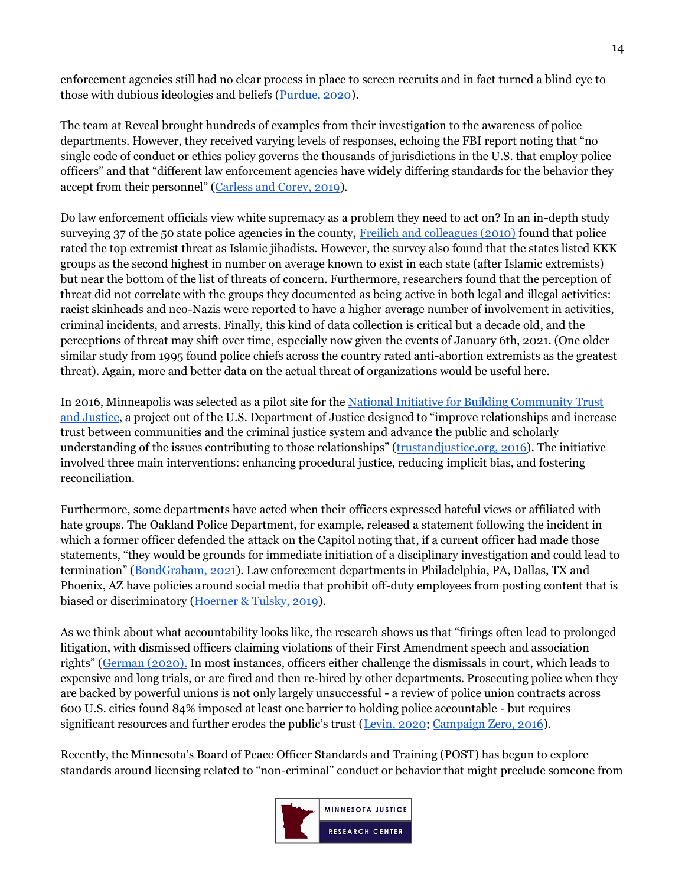enforcement agencies still had no clear process in place to screen recruits and in fact turned a blind eye to those with dubious ideologies and beliefs [\(Purdue, 2020\)](https://www.opendemocracy.net/en/countering-radical-right/other-epidemic-white-supremacists-law-enforcement/).

The team at Reveal brought hundreds of examples from their investigation to the awareness of police departments. However, they received varying levels of responses, echoing the FBI report noting that "no single code of conduct or ethics policy governs the thousands of jurisdictions in the U.S. that employ police officers" and that "different law enforcement agencies have widely differing standards for the behavior they accept from their personnel" ([Carless and Corey, 2019\)](https://revealnews.org/article/inside-hate-groups-on-facebook-police-officers-trade-racist-memes-conspiracy-theories-and-islamophobia/).

Do law enforcement officials view white supremacy as a problem they need to act on? In an in-depth study surveying 37 of the 50 state police agencies in the county, [Freilich and colleagues \(2010\)](https://www.tandfonline.com/doi/abs/10.1080/09546550902950324) found that police rated the top extremist threat as Islamic jihadists. However, the survey also found that the states listed KKK groups as the second highest in number on average known to exist in each state (after Islamic extremists) but near the bottom of the list of threats of concern. Furthermore, researchers found that the perception of threat did not correlate with the groups they documented as being active in both legal and illegal activities: racist skinheads and neo-Nazis were reported to have a higher average number of involvement in activities, criminal incidents, and arrests. Finally, this kind of data collection is critical but a decade old, and the perceptions of threat may shift over time, especially now given the events of January 6th, 2021. (One older similar study from 1995 found police chiefs across the country rated anti-abortion extremists as the greatest threat). Again, more and better data on the actual threat of organizations would be useful here.

In 2016, Minneapolis was selected as a pilot site for the [National Initiative for Building Community Trust](https://s3.trustandjustice.org/misc/National_Initiative_-_2016_Status_Report_-_Minneapolis.pdf)  [and Justice](https://s3.trustandjustice.org/misc/National_Initiative_-_2016_Status_Report_-_Minneapolis.pdf), a project out of the U.S. Department of Justice designed to "improve relationships and increase trust between communities and the criminal justice system and advance the public and scholarly understanding of the issues contributing to those relationships" ([trustandjustice.org,](https://s3.trustandjustice.org/misc/National_Initiative_-_2016_Status_Report_-_Minneapolis.pdf) 2016). The initiative involved three main interventions: enhancing procedural justice, reducing implicit bias, and fostering reconciliation.

Furthermore, some departments have acted when their officers expressed hateful views or affiliated with hate groups. The Oakland Police Department, for example, released a statement following the incident in which a former officer defended the attack on the Capitol noting that, if a current officer had made those statements, "they would be grounds for immediate initiation of a disciplinary investigation and could lead to termination" ([BondGraham, 2021\)](https://oaklandside.org/2021/01/07/former-oakland-police-officer-defends-capitol-mob-and-spreads-conspiracies-earning-likes-from-opd-officers/?fbclid=IwAR35s_6mA316MVooGAYkGisZm4ItqdltYNG5JHiiKmhhgzvN8eAeoNX11YQ). Law enforcement departments in Philadelphia, PA, Dallas, TX and Phoenix, AZ have policies around social media that prohibit off-duty employees from posting content that is biased or discriminatory [\(Hoerner & Tulsky, 2019\)](https://www.buzzfeednews.com/article/emilyhoerner/police-facebook-racist-violent-posts-comments-philadelphia).

As we think about what accountability looks like, the research shows us that "firings often lead to prolonged litigation, with dismissed officers claiming violations of their First Amendment speech and association rights" ([German \(2020\).](https://www.brennancenter.org/our-work/analysis-opinion/white-supremacist-links-law-enforcement-are-urgent-concern) In most instances, officers either challenge the dismissals in court, which leads to expensive and long trials, or are fired and then re-hired by other departments. Prosecuting police when they are backed by powerful unions is not only largely unsuccessful - a review of police union contracts across 600 U.S. cities found 84% imposed at least one barrier to holding police accountable - but requires significant resources and further erodes the public's trust ([Levin, 2020;](https://poseidon01.ssrn.com/delivery.php?ID=870067088114085012028084080067078108058045018002021023103090073113114126022085082007037114118031122002109098127088017004091088057019039084049112101078072127020004090002021086120021094099081094019016069071072085018118095115018116003115102072028030103026&EXT=pdf&INDEX=TRUE) [Campaign Zero, 2016\)](https://www.joincampaignzero.org/contracts).

Recently, the Minnesota's Board of Peace Officer Standards and Training (POST) has begun to explore standards around licensing related to "non-criminal" conduct or behavior that might preclude someone from

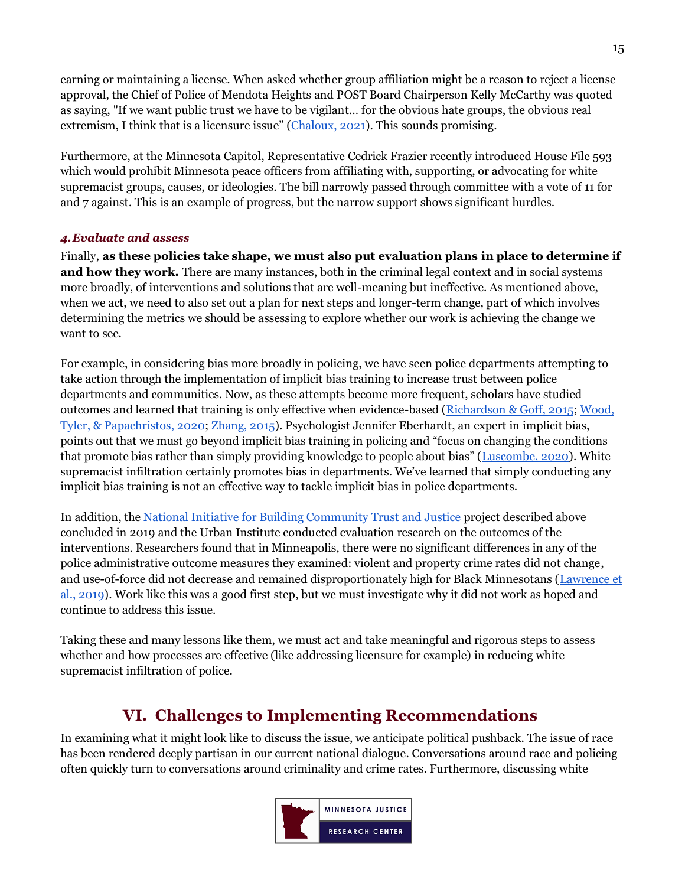earning or maintaining a license. When asked whether group affiliation might be a reason to reject a license approval, the Chief of Police of Mendota Heights and POST Board Chairperson Kelly McCarthy was quoted as saying, "If we want public trust we have to be vigilant… for the obvious hate groups, the obvious real extremism, I think that is a licensure issue" ([Chaloux, 2021\)](https://kstp.com/news/minnesota-law-enforcement-oversight-post-board-taking-closer-look-standards-for-those-officers-who-wear-badge/5992634/). This sounds promising.

Furthermore, at the Minnesota Capitol, Representative Cedrick Frazier recently introduced House File 593 which would prohibit Minnesota peace officers from affiliating with, supporting, or advocating for white supremacist groups, causes, or ideologies. The bill narrowly passed through committee with a vote of 11 for and 7 against. This is an example of progress, but the narrow support shows significant hurdles.

## <span id="page-14-0"></span>*4.Evaluate and assess*

Finally, **as these policies take shape, we must also put evaluation plans in place to determine if and how they work.** There are many instances, both in the criminal legal context and in social systems more broadly, of interventions and solutions that are well-meaning but ineffective. As mentioned above, when we act, we need to also set out a plan for next steps and longer-term change, part of which involves determining the metrics we should be assessing to explore whether our work is achieving the change we want to see.

For example, in considering bias more broadly in policing, we have seen police departments attempting to take action through the implementation of implicit bias training to increase trust between police departments and communities. Now, as these attempts become more frequent, scholars have studied outcomes and learned that training is only effective when evidence-based [\(Richardson & Goff, 2015;](https://papers.ssrn.com/sol3/papers.cfm?abstract_id=2554003) [Wood,](https://www.pnas.org/content/117/18/9815/tab-article-info)  [Tyler, & Papachristos, 2020;](https://www.pnas.org/content/117/18/9815/tab-article-info) [Zhang, 2015\)](https://www.wired.com/2015/08/police-training-seriously-lacking-actual-science/). Psychologist Jennifer Eberhardt, an expert in implicit bias, points out that we must go beyond implicit bias training in policing and "focus on changing the conditions that promote bias rather than simply providing knowledge to people about bias" ([Luscombe, 2020\)](https://time.com/5849172/police-racial-bias/). White supremacist infiltration certainly promotes bias in departments. We've learned that simply conducting any implicit bias training is not an effective way to tackle implicit bias in police departments.

In addition, the [National Initiative for Building Community Trust and Justice](https://s3.trustandjustice.org/misc/National_Initiative_-_2016_Status_Report_-_Minneapolis.pdf) project described above concluded in 2019 and the Urban Institute conducted evaluation research on the outcomes of the interventions. Researchers found that in Minneapolis, there were no significant differences in any of the police administrative outcome measures they examined: violent and property crime rates did not change, and use-of-force did not decrease and remained disproportionately high for Black Minnesotans [\(Lawrence et](https://www.urban.org/research/publication/impact-national-initiative-building-community-trust-and-justice-police-administrative-outcomes/view/full_report)  [al., 2019\)](https://www.urban.org/research/publication/impact-national-initiative-building-community-trust-and-justice-police-administrative-outcomes/view/full_report). Work like this was a good first step, but we must investigate why it did not work as hoped and continue to address this issue.

<span id="page-14-1"></span>Taking these and many lessons like them, we must act and take meaningful and rigorous steps to assess whether and how processes are effective (like addressing licensure for example) in reducing white supremacist infiltration of police.

## **VI. Challenges to Implementing Recommendations**

In examining what it might look like to discuss the issue, we anticipate political pushback. The issue of race has been rendered deeply partisan in our current national dialogue. Conversations around race and policing often quickly turn to conversations around criminality and crime rates. Furthermore, discussing white

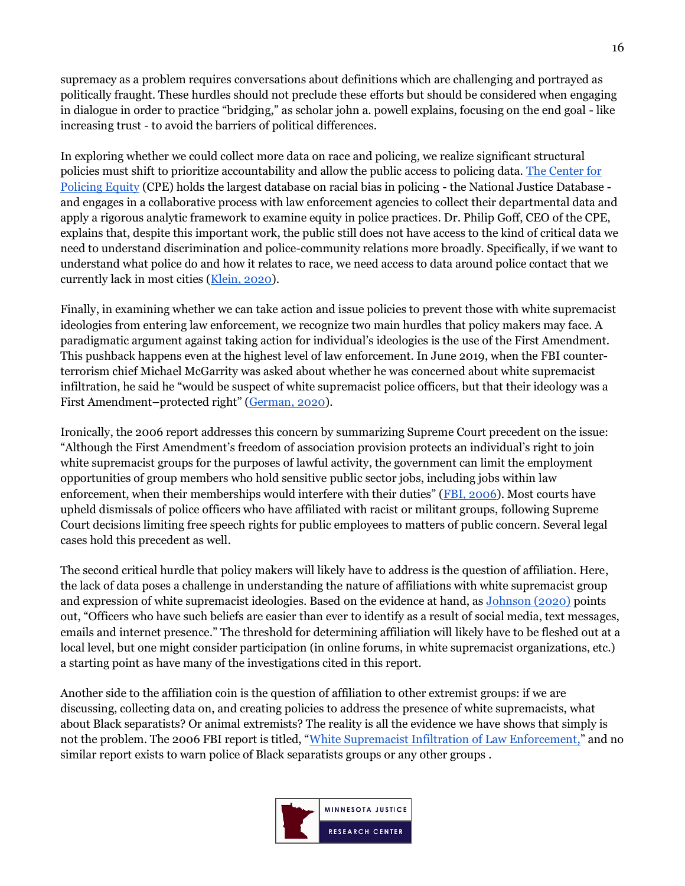supremacy as a problem requires conversations about definitions which are challenging and portrayed as politically fraught. These hurdles should not preclude these efforts but should be considered when engaging in dialogue in order to practice "bridging," as scholar john a. powell explains, focusing on the end goal - like increasing trust - to avoid the barriers of political differences.

In exploring whether we could collect more data on race and policing, we realize significant structural policies must shift to prioritize accountability and allow the public access to policing data. [The Center for](https://policingequity.org/what-we-do/research/the-science-of-justice-race-arrests-and-police-use-of-force)  [Policing Equity](https://policingequity.org/what-we-do/research/the-science-of-justice-race-arrests-and-police-use-of-force) (CPE) holds the largest database on racial bias in policing - the National Justice Database and engages in a collaborative process with law enforcement agencies to collect their departmental data and apply a rigorous analytic framework to examine equity in police practices. Dr. Philip Goff, CEO of the CPE, explains that, despite this important work, the public still does not have access to the kind of critical data we need to understand discrimination and police-community relations more broadly. Specifically, if we want to understand what police do and how it relates to race, we need access to data around police contact that we currently lack in most cities [\(Klein, 2020\)](https://www.vox.com/2020/9/15/21437156/police-racial-bias-shootings-the-ezra-klein-show).

Finally, in examining whether we can take action and issue policies to prevent those with white supremacist ideologies from entering law enforcement, we recognize two main hurdles that policy makers may face. A paradigmatic argument against taking action for individual's ideologies is the use of the First Amendment. This pushback happens even at the highest level of law enforcement. In June 2019, when the FBI counterterrorism chief Michael McGarrity was asked about whether he was concerned about white supremacist infiltration, he said he "would be suspect of white supremacist police officers, but that their ideology was a First Amendment–protected right" ([German, 2020\)](https://www.brennancenter.org/our-work/analysis-opinion/white-supremacist-links-law-enforcement-are-urgent-concern).

Ironically, the 2006 report addresses this concern by summarizing Supreme Court precedent on the issue: "Although the First Amendment's freedom of association provision protects an individual's right to join white supremacist groups for the purposes of lawful activity, the government can limit the employment opportunities of group members who hold sensitive public sector jobs, including jobs within law enforcement, when their memberships would interfere with their duties" ([FBI, 2006\)](http://s3.documentcloud.org/documents/402521/doc-26-white-supremacist-infiltration.pdf). Most courts have upheld dismissals of police officers who have affiliated with racist or militant groups, following Supreme Court decisions limiting free speech rights for public employees to matters of public concern. Several legal cases hold this precedent as well.

The second critical hurdle that policy makers will likely have to address is the question of affiliation. Here, the lack of data poses a challenge in understanding the nature of affiliations with white supremacist group and expression of white supremacist ideologies. Based on the evidence at hand, as [Johnson \(2020\)](https://www.wedontowenobody.com/wp-content/uploads/2019/09/lcb231article2johnsonpdf.pdf) points out, "Officers who have such beliefs are easier than ever to identify as a result of social media, text messages, emails and internet presence." The threshold for determining affiliation will likely have to be fleshed out at a local level, but one might consider participation (in online forums, in white supremacist organizations, etc.) a starting point as have many of the investigations cited in this report.

Another side to the affiliation coin is the question of affiliation to other extremist groups: if we are discussing, collecting data on, and creating policies to address the presence of white supremacists, what about Black separatists? Or animal extremists? The reality is all the evidence we have shows that simply is not the problem. The 2006 FBI report is titled, "[White Supremacist Infiltration of Law Enforcement,](http://s3.documentcloud.org/documents/402521/doc-26-white-supremacist-infiltration.pdf)" and no similar report exists to warn police of Black separatists groups or any other groups.

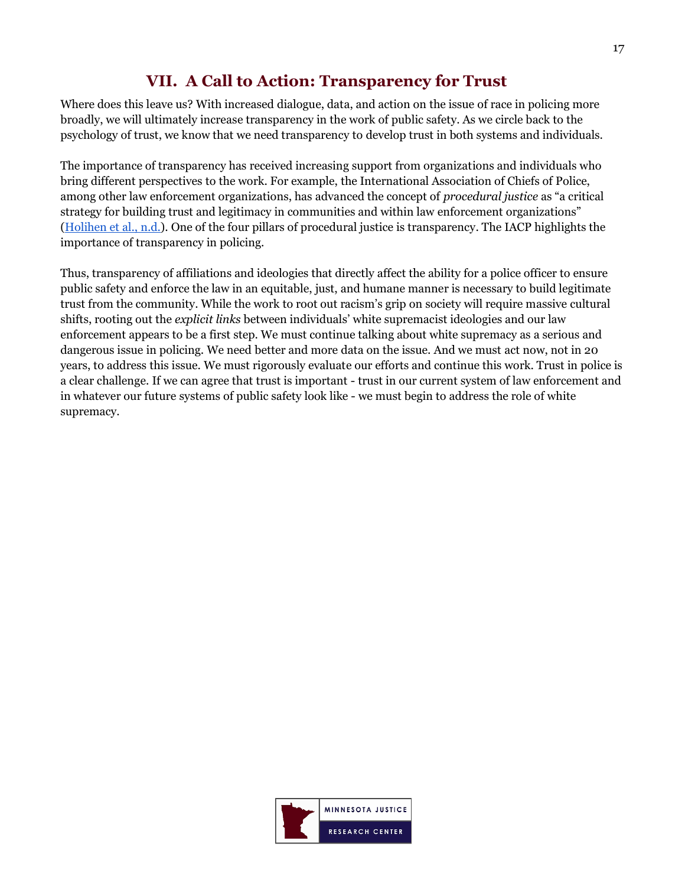## **VII. A Call to Action: Transparency for Trust**

<span id="page-16-0"></span>Where does this leave us? With increased dialogue, data, and action on the issue of race in policing more broadly, we will ultimately increase transparency in the work of public safety. As we circle back to the psychology of trust, we know that we need transparency to develop trust in both systems and individuals.

The importance of transparency has received increasing support from organizations and individuals who bring different perspectives to the work. For example, the International Association of Chiefs of Police, among other law enforcement organizations, has advanced the concept of *procedural justice* as "a critical strategy for building trust and legitimacy in communities and within law enforcement organizations" [\(Holihen](https://www.policechiefmagazine.org/procedural-justice-a-training-model-for-organizational-level-change/?ref=c4860f070eb5280fecb602740af70a30) et al., n.d.). One of the four pillars of procedural justice is transparency. The IACP highlights the importance of transparency in policing.

Thus, transparency of affiliations and ideologies that directly affect the ability for a police officer to ensure public safety and enforce the law in an equitable, just, and humane manner is necessary to build legitimate trust from the community. While the work to root out racism's grip on society will require massive cultural shifts, rooting out the *explicit links* between individuals' white supremacist ideologies and our law enforcement appears to be a first step. We must continue talking about white supremacy as a serious and dangerous issue in policing. We need better and more data on the issue. And we must act now, not in 20 years, to address this issue. We must rigorously evaluate our efforts and continue this work. Trust in police is a clear challenge. If we can agree that trust is important - trust in our current system of law enforcement and in whatever our future systems of public safety look like - we must begin to address the role of white supremacy.

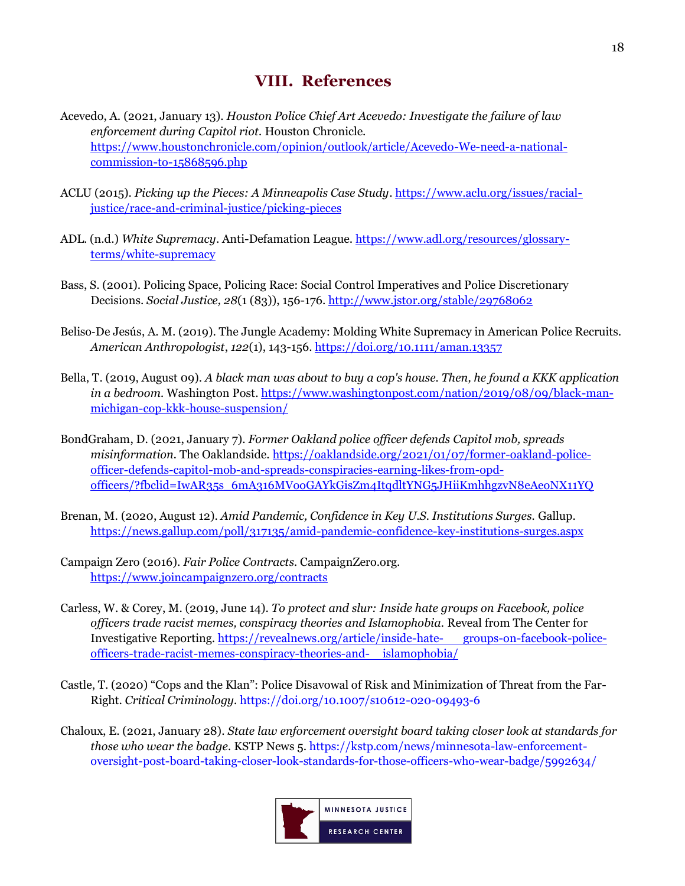## **VIII. References**

- <span id="page-17-0"></span>Acevedo, A. (2021, January 13). *Houston Police Chief Art Acevedo: Investigate the failure of law enforcement during Capitol riot.* Houston Chronicle. [https://www.houstonchronicle.com/opinion/outlook/article/Acevedo-We-need-a-national](https://www.houstonchronicle.com/opinion/outlook/article/Acevedo-We-need-a-national-commission-to-15868596.php)[commission-to-15868596.php](https://www.houstonchronicle.com/opinion/outlook/article/Acevedo-We-need-a-national-commission-to-15868596.php)
- ACLU (2015). *Picking up the Pieces: A Minneapolis Case Study*. [https://www.aclu.org/issues/racial](https://www.aclu.org/issues/racial-justice/race-and-criminal-justice/picking-pieces)[justice/race-and-criminal-justice/picking-pieces](https://www.aclu.org/issues/racial-justice/race-and-criminal-justice/picking-pieces)
- ADL. (n.d.) *White Supremacy*. Anti-Defamation League. [https://www.adl.org/resources/glossary](https://www.adl.org/resources/glossary-terms/white-supremacy)[terms/white-supremacy](https://www.adl.org/resources/glossary-terms/white-supremacy)
- Bass, S. (2001). Policing Space, Policing Race: Social Control Imperatives and Police Discretionary Decisions. *Social Justice, 28*(1 (83)), 156-176[. http://www.jstor.org/stable/29768062](http://www.jstor.org/stable/29768062)
- Beliso‐De Jesús, A. M. (2019). The Jungle Academy: Molding White Supremacy in American Police Recruits. *American Anthropologist*, *122*(1), 143-156[. https://doi.org/10.1111/aman.13357](https://doi.org/10.1111/aman.13357)
- Bella, T. (2019, August 09). *A black man was about to buy a cop's house. Then, he found a KKK application in a bedroom.* Washington Post[. https://www.washingtonpost.com/nation/2019/08/09/black-man](https://www.washingtonpost.com/nation/2019/08/09/black-man-michigan-cop-kkk-house-suspension/)[michigan-cop-kkk-house-suspension/](https://www.washingtonpost.com/nation/2019/08/09/black-man-michigan-cop-kkk-house-suspension/)
- BondGraham, D. (2021, January 7). *Former Oakland police officer defends Capitol mob, spreads*  misinformation. The Oaklandside. [https://oaklandside.org/2021/01/07/former-oakland-police](https://oaklandside.org/2021/01/07/former-oakland-police-officer-defends-capitol-mob-and-spreads-conspiracies-earning-likes-from-opd-officers/?fbclid=IwAR35s_6mA316MVooGAYkGisZm4ItqdltYNG5JHiiKmhhgzvN8eAeoNX11YQ)[officer-defends-capitol-mob-and-spreads-conspiracies-earning-likes-from-opd](https://oaklandside.org/2021/01/07/former-oakland-police-officer-defends-capitol-mob-and-spreads-conspiracies-earning-likes-from-opd-officers/?fbclid=IwAR35s_6mA316MVooGAYkGisZm4ItqdltYNG5JHiiKmhhgzvN8eAeoNX11YQ)[officers/?fbclid=IwAR35s\\_6mA316MVooGAYkGisZm4ItqdltYNG5JHiiKmhhgzvN8eAeoNX11YQ](https://oaklandside.org/2021/01/07/former-oakland-police-officer-defends-capitol-mob-and-spreads-conspiracies-earning-likes-from-opd-officers/?fbclid=IwAR35s_6mA316MVooGAYkGisZm4ItqdltYNG5JHiiKmhhgzvN8eAeoNX11YQ)
- Brenan, M. (2020, August 12). *Amid Pandemic, Confidence in Key U.S. Institutions Surges.* Gallup. <https://news.gallup.com/poll/317135/amid-pandemic-confidence-key-institutions-surges.aspx>
- Campaign Zero (2016). *Fair Police Contracts.* CampaignZero.org. <https://www.joincampaignzero.org/contracts>
- Carless, W. & Corey, M. (2019, June 14). *To protect and slur: Inside hate groups on Facebook, police officers trade racist memes, conspiracy theories and Islamophobia.* Reveal from The Center for Investigative Reporting. [https://revealnews.org/article/inside-hate-](https://revealnews.org/article/inside-hate-%09groups-on-facebook-police-officers-trade-racist-memes-conspiracy-theories-and-%09islamophobia/) groups-on-facebook-police[officers-trade-racist-memes-conspiracy-theories-and-](https://revealnews.org/article/inside-hate-%09groups-on-facebook-police-officers-trade-racist-memes-conspiracy-theories-and-%09islamophobia/) islamophobia/
- Castle, T. (2020) "Cops and the Klan": Police Disavowal of Risk and Minimization of Threat from the Far-Right. *Critical Criminology.* <https://doi.org/10.1007/s10612-020-09493-6>
- Chaloux, E. (2021, January 28). *State law enforcement oversight board taking closer look at standards for those who wear the badge.* KSTP News 5[. https://kstp.com/news/minnesota-law-enforcement](https://kstp.com/news/minnesota-law-enforcement-oversight-post-board-taking-closer-look-standards-for-those-officers-who-wear-badge/5992634/)[oversight-post-board-taking-closer-look-standards-for-those-officers-who-wear-badge/5992634/](https://kstp.com/news/minnesota-law-enforcement-oversight-post-board-taking-closer-look-standards-for-those-officers-who-wear-badge/5992634/)

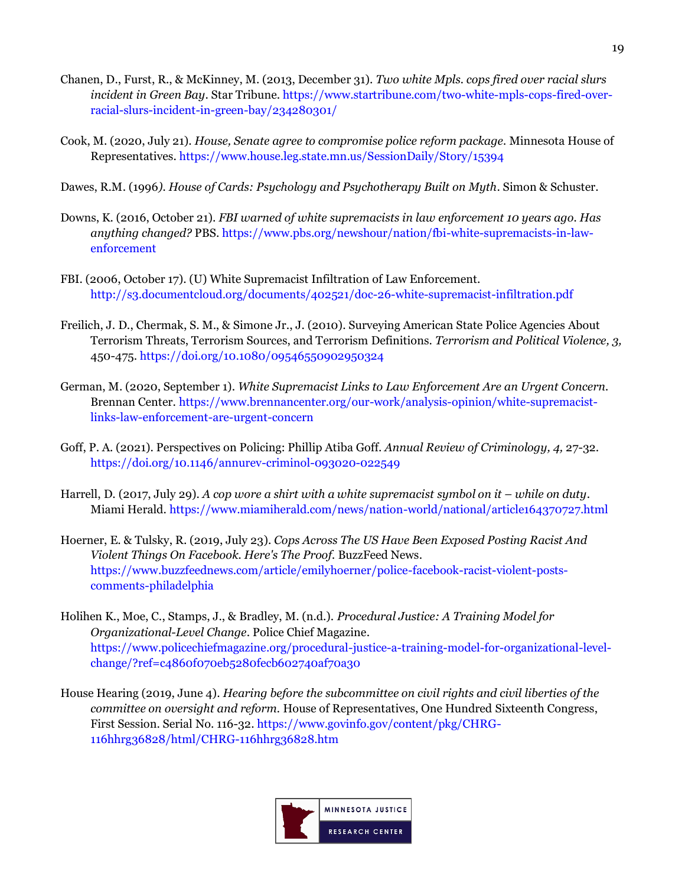- Chanen, D., Furst, R., & McKinney, M. (2013, December 31). *Two white Mpls. cops fired over racial slurs incident in Green Bay*. Star Tribune[. https://www.startribune.com/two-white-mpls-cops-fired-over](https://www.startribune.com/two-white-mpls-cops-fired-over-racial-slurs-incident-in-green-bay/234280301/)[racial-slurs-incident-in-green-bay/234280301/](https://www.startribune.com/two-white-mpls-cops-fired-over-racial-slurs-incident-in-green-bay/234280301/)
- Cook, M. (2020, July 21). *House, Senate agree to compromise police reform package.* Minnesota House of Representatives.<https://www.house.leg.state.mn.us/SessionDaily/Story/15394>
- Dawes, R.M. (1996*). House of Cards: Psychology and Psychotherapy Built on Myth*. Simon & Schuster.
- Downs, K. (2016, October 21). *FBI warned of white supremacists in law enforcement 10 years ago. Has anything changed?* PBS[. https://www.pbs.org/newshour/nation/fbi-white-supremacists-in-law](https://www.pbs.org/newshour/nation/fbi-white-supremacists-in-law-enforcement)[enforcement](https://www.pbs.org/newshour/nation/fbi-white-supremacists-in-law-enforcement)
- FBI. (2006, October 17). (U) White Supremacist Infiltration of Law Enforcement. <http://s3.documentcloud.org/documents/402521/doc-26-white-supremacist-infiltration.pdf>
- Freilich, J. D., Chermak, S. M., & Simone Jr., J. (2010). Surveying American State Police Agencies About Terrorism Threats, Terrorism Sources, and Terrorism Definitions. *Terrorism and Political Violence, 3,*  450-475.<https://doi.org/10.1080/09546550902950324>
- German, M. (2020, September 1). *White Supremacist Links to Law Enforcement Are an Urgent Concern.* Brennan Center. [https://www.brennancenter.org/our-work/analysis-opinion/white-supremacist](https://www.brennancenter.org/our-work/analysis-opinion/white-supremacist-links-law-enforcement-are-urgent-concern)[links-law-enforcement-are-urgent-concern](https://www.brennancenter.org/our-work/analysis-opinion/white-supremacist-links-law-enforcement-are-urgent-concern)
- Goff, P. A. (2021). Perspectives on Policing: Phillip Atiba Goff. *Annual Review of Criminology, 4,* 27-32. <https://doi.org/10.1146/annurev-criminol-093020-022549>
- Harrell, D. (2017, July 29). *A cop wore a shirt with a white supremacist symbol on it while on duty*. Miami Herald.<https://www.miamiherald.com/news/nation-world/national/article164370727.html>
- Hoerner, E. & Tulsky, R. (2019, July 23). *Cops Across The US Have Been Exposed Posting Racist And Violent Things On Facebook. Here's The Proof.* BuzzFeed News. [https://www.buzzfeednews.com/article/emilyhoerner/police-facebook-racist-violent-posts](https://www.buzzfeednews.com/article/emilyhoerner/police-facebook-racist-violent-posts-comments-philadelphia)[comments-philadelphia](https://www.buzzfeednews.com/article/emilyhoerner/police-facebook-racist-violent-posts-comments-philadelphia)
- Holihen K., Moe, C., Stamps, J., & Bradley, M. (n.d.). *Procedural Justice: A Training Model for Organizational-Level Change*. Police Chief Magazine. [https://www.policechiefmagazine.org/procedural-justice-a-training-model-for-organizational-level](https://www.policechiefmagazine.org/procedural-justice-a-training-model-for-organizational-level-change/?ref=c4860f070eb5280fecb602740af70a30)[change/?ref=c4860f070eb5280fecb602740af70a30](https://www.policechiefmagazine.org/procedural-justice-a-training-model-for-organizational-level-change/?ref=c4860f070eb5280fecb602740af70a30)
- House Hearing (2019, June 4). *Hearing before the subcommittee on civil rights and civil liberties of the committee on oversight and reform.* House of Representatives, One Hundred Sixteenth Congress, First Session. Serial No. 116-32. [https://www.govinfo.gov/content/pkg/CHRG-](https://www.govinfo.gov/content/pkg/CHRG-116hhrg36828/html/CHRG-116hhrg36828.htm)[116hhrg36828/html/CHRG-116hhrg36828.htm](https://www.govinfo.gov/content/pkg/CHRG-116hhrg36828/html/CHRG-116hhrg36828.htm)

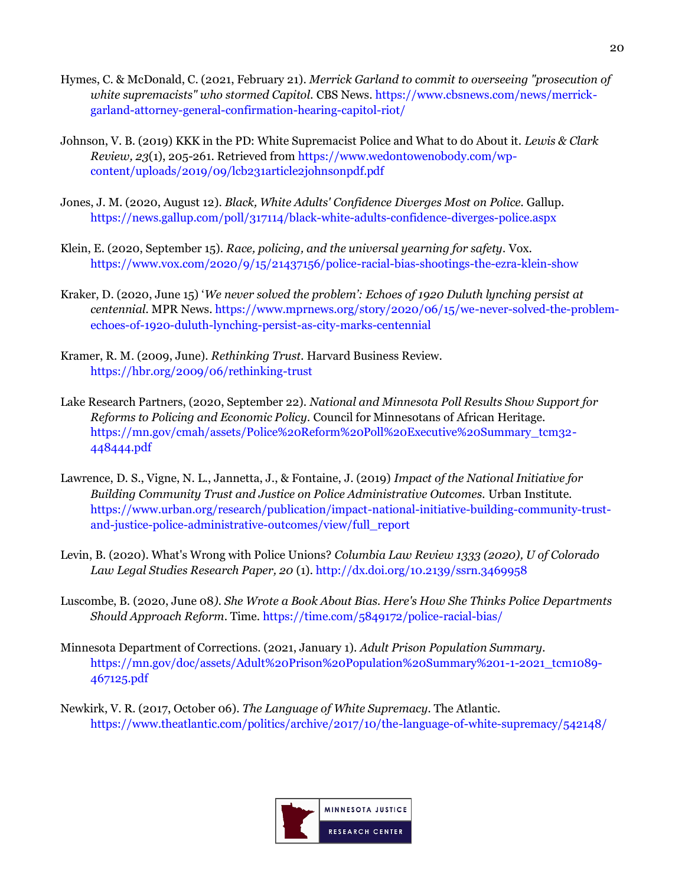- Hymes, C. & McDonald, C. (2021, February 21). *Merrick Garland to commit to overseeing "prosecution of white supremacists" who stormed Capitol.* CBS News. [https://www.cbsnews.com/news/merrick](https://www.cbsnews.com/news/merrick-garland-attorney-general-confirmation-hearing-capitol-riot/)[garland-attorney-general-confirmation-hearing-capitol-riot/](https://www.cbsnews.com/news/merrick-garland-attorney-general-confirmation-hearing-capitol-riot/)
- Johnson, V. B. (2019) KKK in the PD: White Supremacist Police and What to do About it. *Lewis & Clark Review, 23*(1), 205-261. Retrieved fro[m https://www.wedontowenobody.com/wp](https://www.wedontowenobody.com/wp-content/uploads/2019/09/lcb231article2johnsonpdf.pdf)[content/uploads/2019/09/lcb231article2johnsonpdf.pdf](https://www.wedontowenobody.com/wp-content/uploads/2019/09/lcb231article2johnsonpdf.pdf)
- Jones, J. M. (2020, August 12). *Black, White Adults' Confidence Diverges Most on Police.* Gallup. <https://news.gallup.com/poll/317114/black-white-adults-confidence-diverges-police.aspx>
- Klein, E. (2020, September 15). *Race, policing, and the universal yearning for safety.* Vox. <https://www.vox.com/2020/9/15/21437156/police-racial-bias-shootings-the-ezra-klein-show>
- Kraker, D. (2020, June 15) '*We never solved the problem': Echoes of 1920 Duluth lynching persist at centennial.* MPR News. [https://www.mprnews.org/story/2020/06/15/we-never-solved-the-problem](https://www.mprnews.org/story/2020/06/15/we-never-solved-the-problem-echoes-of-1920-duluth-lynching-persist-as-city-marks-centennial)[echoes-of-1920-duluth-lynching-persist-as-city-marks-centennial](https://www.mprnews.org/story/2020/06/15/we-never-solved-the-problem-echoes-of-1920-duluth-lynching-persist-as-city-marks-centennial)
- Kramer, R. M. (2009, June). *Rethinking Trust.* Harvard Business Review. <https://hbr.org/2009/06/rethinking-trust>
- Lake Research Partners, (2020, September 22). *National and Minnesota Poll Results Show Support for Reforms to Policing and Economic Policy.* Council for Minnesotans of African Heritage. [https://mn.gov/cmah/assets/Police%20Reform%20Poll%20Executive%20Summary\\_tcm32-](https://mn.gov/cmah/assets/Police%20Reform%20Poll%20Executive%20Summary_tcm32-448444.pdf) [448444.pdf](https://mn.gov/cmah/assets/Police%20Reform%20Poll%20Executive%20Summary_tcm32-448444.pdf)
- Lawrence, D. S., Vigne, N. L., Jannetta, J., & Fontaine, J. (2019) *Impact of the National Initiative for Building Community Trust and Justice on Police Administrative Outcomes.* Urban Institute. [https://www.urban.org/research/publication/impact-national-initiative-building-community-trust](https://www.urban.org/research/publication/impact-national-initiative-building-community-trust-and-justice-police-administrative-outcomes/view/full_report)[and-justice-police-administrative-outcomes/view/full\\_report](https://www.urban.org/research/publication/impact-national-initiative-building-community-trust-and-justice-police-administrative-outcomes/view/full_report)
- Levin, B. (2020). What's Wrong with Police Unions? *Columbia Law Review 1333 (2020), U of Colorado Law Legal Studies Research Paper, 20* (1)*.* <http://dx.doi.org/10.2139/ssrn.3469958>
- Luscombe, B. (2020, June 08*). She Wrote a Book About Bias. Here's How She Thinks Police Departments Should Approach Reform*. Time.<https://time.com/5849172/police-racial-bias/>
- Minnesota Department of Corrections. (2021, January 1). *Adult Prison Population Summary.* [https://mn.gov/doc/assets/Adult%20Prison%20Population%20Summary%201-1-2021\\_tcm1089-](https://mn.gov/doc/assets/Adult%20Prison%20Population%20Summary%201-1-2021_tcm1089-467125.pdf) [467125.pdf](https://mn.gov/doc/assets/Adult%20Prison%20Population%20Summary%201-1-2021_tcm1089-467125.pdf)
- Newkirk, V. R. (2017, October 06). *The Language of White Supremacy.* The Atlantic. <https://www.theatlantic.com/politics/archive/2017/10/the-language-of-white-supremacy/542148/>

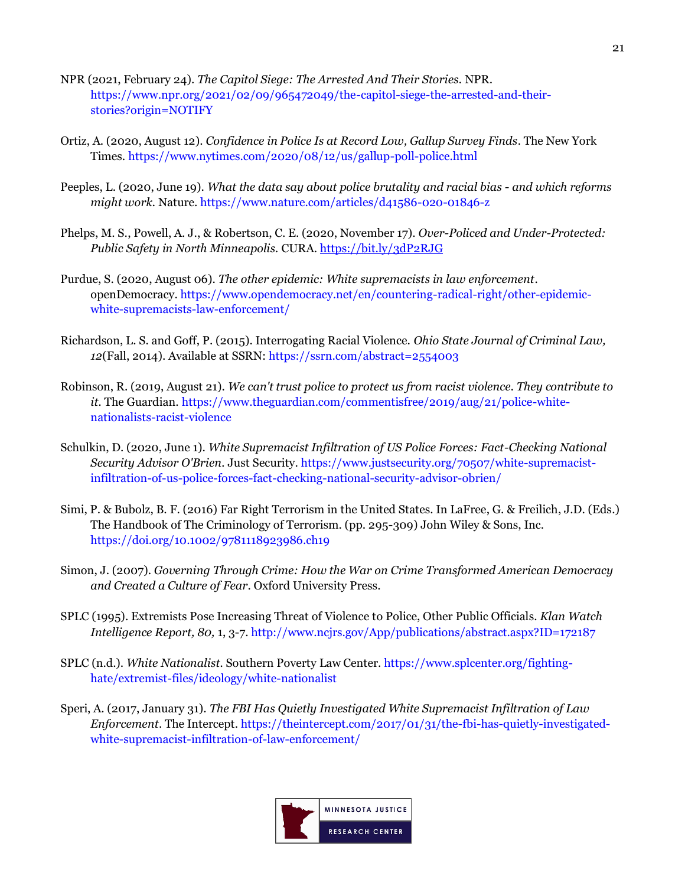- NPR (2021, February 24). *The Capitol Siege: The Arrested And Their Stories.* NPR. [https://www.npr.org/2021/02/09/965472049/the-capitol-siege-the-arrested-and-their](https://www.npr.org/2021/02/09/965472049/the-capitol-siege-the-arrested-and-their-stories?origin=NOTIFY)[stories?origin=NOTIFY](https://www.npr.org/2021/02/09/965472049/the-capitol-siege-the-arrested-and-their-stories?origin=NOTIFY)
- Ortiz, A. (2020, August 12). *Confidence in Police Is at Record Low, Gallup Survey Finds*. The New York Times.<https://www.nytimes.com/2020/08/12/us/gallup-poll-police.html>
- Peeples, L. (2020, June 19). *What the data say about police brutality and racial bias - and which reforms might work.* Nature.<https://www.nature.com/articles/d41586-020-01846-z>
- Phelps, M. S., Powell, A. J., & Robertson, C. E. (2020, November 17). *Over-Policed and Under-Protected: Public Safety in North Minneapolis.* CURA.<https://bit.ly/3dP2RJG>
- Purdue, S. (2020, August 06). *The other epidemic: White supremacists in law enforcement*. openDemocracy. [https://www.opendemocracy.net/en/countering-radical-right/other-epidemic](https://www.opendemocracy.net/en/countering-radical-right/other-epidemic-white-supremacists-law-enforcement/)[white-supremacists-law-enforcement/](https://www.opendemocracy.net/en/countering-radical-right/other-epidemic-white-supremacists-law-enforcement/)
- Richardson, L. S. and Goff, P. (2015). Interrogating Racial Violence. *Ohio State Journal of Criminal Law, 12*(Fall, 2014). Available at SSRN:<https://ssrn.com/abstract=2554003>
- Robinson, R. (2019, August 21). *We can't trust police to protect us from racist violence. They contribute to it.* The Guardian. [https://www.theguardian.com/commentisfree/2019/aug/21/police-white](https://www.theguardian.com/commentisfree/2019/aug/21/police-white-nationalists-racist-violence)[nationalists-racist-violence](https://www.theguardian.com/commentisfree/2019/aug/21/police-white-nationalists-racist-violence)
- Schulkin, D. (2020, June 1). *White Supremacist Infiltration of US Police Forces: Fact-Checking National Security Advisor O'Brien.* Just Security. [https://www.justsecurity.org/70507/white-supremacist](https://www.justsecurity.org/70507/white-supremacist-infiltration-of-us-police-forces-fact-checking-national-security-advisor-obrien/)[infiltration-of-us-police-forces-fact-checking-national-security-advisor-obrien/](https://www.justsecurity.org/70507/white-supremacist-infiltration-of-us-police-forces-fact-checking-national-security-advisor-obrien/)
- Simi, P. & Bubolz, B. F. (2016) Far Right Terrorism in the United States. In LaFree, G. & Freilich, J.D. (Eds.) The Handbook of The Criminology of Terrorism. (pp. 295-309) John Wiley & Sons, Inc. <https://doi.org/10.1002/9781118923986.ch19>
- Simon, J. (2007). *Governing Through Crime: How the War on Crime Transformed American Democracy and Created a Culture of Fear*. Oxford University Press.
- SPLC (1995). Extremists Pose Increasing Threat of Violence to Police, Other Public Officials. *Klan Watch Intelligence Report, 80,* 1, 3-7[. http://www.ncjrs.gov/App/publications/abstract.aspx?ID=172187](http://www.ncjrs.gov/App/publications/abstract.aspx?ID=172187)
- SPLC (n.d.). *White Nationalist.* Southern Poverty Law Center. [https://www.splcenter.org/fighting](https://www.splcenter.org/fighting-hate/extremist-files/ideology/white-nationalist)[hate/extremist-files/ideology/white-nationalist](https://www.splcenter.org/fighting-hate/extremist-files/ideology/white-nationalist)
- Speri, A. (2017, January 31). *The FBI Has Quietly Investigated White Supremacist Infiltration of Law Enforcement*. The Intercept. [https://theintercept.com/2017/01/31/the-fbi-has-quietly-investigated](https://theintercept.com/2017/01/31/the-fbi-has-quietly-investigated-white-supremacist-infiltration-of-law-enforcement/)[white-supremacist-infiltration-of-law-enforcement/](https://theintercept.com/2017/01/31/the-fbi-has-quietly-investigated-white-supremacist-infiltration-of-law-enforcement/)